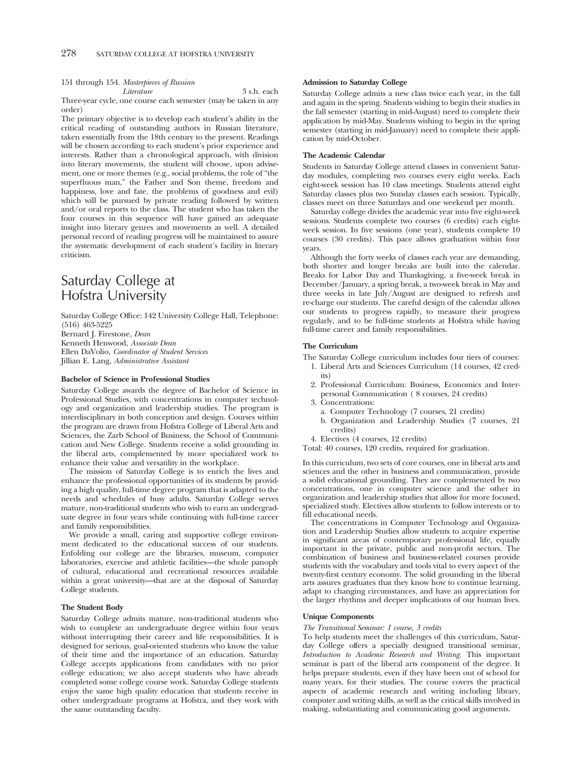| 151 through 154. Masterpieces of Russian |             |
|------------------------------------------|-------------|
| Literature                               | 3 s.h. each |

Three-year cycle, one course each semester (may be taken in any order)

The primary objective is to develop each student's ability in the critical reading of outstanding authors in Russian literature, taken essentially from the 18th century to the present. Readings will be chosen according to each student's prior experience and interests. Rather than a chronological approach, with division into literary movements, the student will choose, upon advisement, one or more themes (e.g., social problems, the role of "the superfluous man," the Father and Son theme, freedom and happiness, love and fate, the problems of goodness and evil) which will be pursued by private reading followed by written and/or oral reports to the class. The student who has taken the four courses in this sequence will have gained an adequate insight into literary genres and movements as well. A detailed personal record of reading progress will be maintained to assure the systematic development of each student's facility in literary criticism.

# Saturday College at Hofstra University

Saturday College Office: 142 University College Hall, Telephone: (516) 463-5225 Bernard J. Firestone, *Dean* 

Kenneth Henwood, *Associate Dean*  Ellen DaVolio, *Coordinator of Student Services*  Jillian E. Lang, *Administrative Assistant* 

#### **Bachelor of Science in Professional Studies**

Saturday College awards the degree of Bachelor of Science in Professional Studies, with concentrations in computer technology and organization and leadership studies. The program is interdisciplinary in both conception and design. Courses within the program are drawn from Hofstra College of Liberal Arts and Sciences, the Zarb School of Business, the School of Communication and New College. Students receive a solid grounding in the liberal arts, complemented by more specialized work to enhance their value and versatility in the workplace.

The mission of Saturday College is to enrich the lives and enhance the professional opportunities of its students by providing a high quality, full-time degree program that is adapted to the needs and schedules of busy adults. Saturday College serves mature, non-traditional students who wish to earn an undergraduate degree in four years while continuing with full-time career and family responsibilities.

We provide a small, caring and supportive college environment dedicated to the educational success of our students. Enfolding our college are the libraries, museum, computer laboratories, exercise and athletic facilities—the whole panoply of cultural, educational and recreational resources available within a great university—that are at the disposal of Saturday College students.

#### **The Student Body**

Saturday College admits mature, non-traditional students who wish to complete an undergraduate degree within four years without interrupting their career and life responsibilities. It is designed for serious, goal-oriented students who know the value of their time and the importance of an education. Saturday College accepts applications from candidates with no prior college education; we also accept students who have already completed some college course work. Saturday College students enjoy the same high quality education that students receive in other undergraduate programs at Hofstra, and they work with the same outstanding faculty.

#### **Admission to Saturday College**

Saturday College admits a new class twice each year, in the fall and again in the spring. Students wishing to begin their studies in the fall semester (starting in mid-August) need to complete their application by mid-May. Students wishing to begin in the spring semester (starting in mid-January) need to complete their application by mid-October.

#### **The Academic Calendar**

Students in Saturday College attend classes in convenient Saturday modules, completing two courses every eight weeks. Each eight-week session has 10 class meetings. Students attend eight Saturday classes plus two Sunday classes each session. Typically, classes meet on three Saturdays and one weekend per month.

Saturday college divides the academic year into five eight-week sessions. Students complete two courses (6 credits) each eightweek session. In five sessions (one year), students complete 10 courses (30 credits). This pace allows graduation within four years.

Although the forty weeks of classes each year are demanding, both shorter and longer breaks are built into the calendar. Breaks for Labor Day and Thanksgiving, a five-week break in December/January, a spring break, a two-week break in May and three weeks in late July/August are designed to refresh and re-charge our students. The careful design of the calendar allows our students to progress rapidly, to measure their progress regularly, and to be full-time students at Hofstra while having full-time career and family responsibilities.

#### **The Curriculum**

- The Saturday College curriculum includes four tiers of courses:
	- 1. Liberal Arts and Sciences Curriculum (14 courses, 42 credits)
	- 2. Professional Curriculum: Business, Economics and Interpersonal Communication ( 8 courses, 24 credits)
	- 3. Concentrations:
		- a. Computer Technology (7 courses, 21 credits)
		- b. Organization and Leadership Studies (7 courses, 21 credits)
	- 4. Electives (4 courses, 12 credits)

Total: 40 courses, 120 credits, required for graduation.

In this curriculum, two sets of core courses, one in liberal arts and sciences and the other in business and communication, provide a solid educational grounding. They are complemented by two concentrations, one in computer science and the other in organization and leadership studies that allow for more focused, specialized study. Electives allow students to follow interests or to fill educational needs.

The concentrations in Computer Technology and Organization and Leadership Studies allow students to acquire expertise in significant areas of contemporary professional life, equally important in the private, public and non-profit sectors. The combination of business and business-related courses provide students with the vocabulary and tools vital to every aspect of the twenty-first century economy. The solid grounding in the liberal arts assures graduates that they know how to continue learning, adapt to changing circumstances, and have an appreciation for the larger rhythms and deeper implications of our human lives.

#### **Unique Components**

*The Transitional Seminar: 1 course, 3 credits* 

To help students meet the challenges of this curriculum, Saturday College offers a specially designed transitional seminar, *Introduction to Academic Research and Writing.* This important seminar is part of the liberal arts component of the degree. It helps prepare students, even if they have been out of school for many years, for their studies. The course covers the practical aspects of academic research and writing including library, computer and writing skills, as well as the critical skills involved in making, substantiating and communicating good arguments.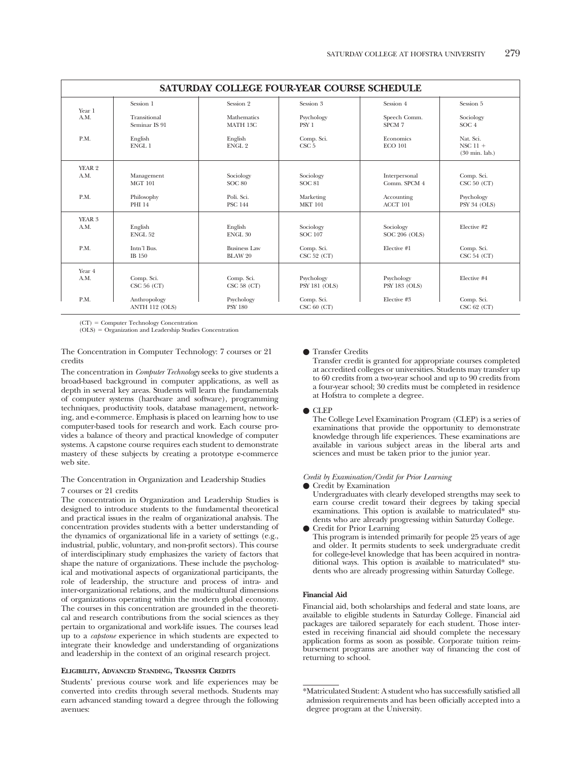|                   | SATURDAY COLLEGE FOUR-YEAR COURSE SCHEDULE |                                       |                                |                             |                                                     |  |  |  |  |
|-------------------|--------------------------------------------|---------------------------------------|--------------------------------|-----------------------------|-----------------------------------------------------|--|--|--|--|
| Year 1            | Session 1                                  | Session 2                             | Session 3                      | Session 4                   | Session 5                                           |  |  |  |  |
| A.M.              | Transitional                               | Mathematics                           | Psychology                     | Speech Comm.                | Sociology                                           |  |  |  |  |
|                   | Seminar IS 91                              | MATH 13C                              | PSY <sub>1</sub>               | SPCM 7                      | SOC <sub>4</sub>                                    |  |  |  |  |
| P.M.              | English<br>ENGL 1                          | English<br>ENGL <sub>2</sub>          | Comp. Sci.<br>CSC <sub>5</sub> | Economics<br><b>ECO 101</b> | Nat. Sci.<br>NSC $11 +$<br>$(30 \text{ min.}$ lab.) |  |  |  |  |
| YEAR <sub>2</sub> | Management                                 | Sociology                             | Sociology                      | Interpersonal               | Comp. Sci.                                          |  |  |  |  |
| A.M.              | <b>MGT 101</b>                             | <b>SOC 80</b>                         | <b>SOC 81</b>                  | Comm. SPCM 4                | CSC 50 (CT)                                         |  |  |  |  |
| P.M.              | Philosophy                                 | Poli. Sci.                            | Marketing                      | Accounting                  | Psychology                                          |  |  |  |  |
|                   | PHI 14                                     | <b>PSC 144</b>                        | <b>MKT 101</b>                 | ACCT 101                    | PSY 34 (OLS)                                        |  |  |  |  |
| YEAR 3            | English                                    | English                               | Sociology                      | Sociology                   | Elective #2                                         |  |  |  |  |
| A.M.              | ENGL <sub>52</sub>                         | ENGL 30                               | <b>SOC 107</b>                 | SOC 206 (OLS)               |                                                     |  |  |  |  |
| P.M.              | Intn'l Bus.<br>IB 150                      | <b>Business Law</b><br><b>BLAW 20</b> | Comp. Sci.<br>CSC 52 (CT)      | Elective #1                 | Comp. Sci.<br>CSC 54 (CT)                           |  |  |  |  |
| Year 4            | Comp. Sci.                                 | Comp. Sci.                            | Psychology                     | Psychology                  | Elective #4                                         |  |  |  |  |
| A.M.              | CSC 56 (CT)                                | CSC 58 (CT)                           | <b>PSY 181 (OLS)</b>           | <b>PSY 183 (OLS)</b>        |                                                     |  |  |  |  |
| P.M.              | Anthropology<br>ANTH 112 (OLS)             | Psychology<br><b>PSY 180</b>          | Comp. Sci.<br>CSC 60 (CT)      | Elective #3                 | Comp. Sci.<br>CSC 62 (CT)                           |  |  |  |  |

(CT) Computer Technology Concentration

(OLS) = Organization and Leadership Studies Concentration

The Concentration in Computer Technology: 7 courses or 21 credits

The concentration in *Computer Technology* seeks to give students a broad-based background in computer applications, as well as depth in several key areas. Students will learn the fundamentals of computer systems (hardware and software), programming techniques, productivity tools, database management, networking, and e-commerce. Emphasis is placed on learning how to use computer-based tools for research and work. Each course provides a balance of theory and practical knowledge of computer systems. A capstone course requires each student to demonstrate mastery of these subjects by creating a prototype e-commerce web site.

#### The Concentration in Organization and Leadership Studies

#### 7 courses or 21 credits

The concentration in Organization and Leadership Studies is designed to introduce students to the fundamental theoretical and practical issues in the realm of organizational analysis. The concentration provides students with a better understanding of the dynamics of organizational life in a variety of settings (e.g., industrial, public, voluntary, and non-profit sectors). This course of interdisciplinary study emphasizes the variety of factors that shape the nature of organizations. These include the psychological and motivational aspects of organizational participants, the role of leadership, the structure and process of intra- and inter-organizational relations, and the multicultural dimensions of organizations operating within the modern global economy. The courses in this concentration are grounded in the theoretical and research contributions from the social sciences as they pertain to organizational and work-life issues. The courses lead up to a *capstone* experience in which students are expected to integrate their knowledge and understanding of organizations and leadership in the context of an original research project.

#### **ELIGIBILITY, ADVANCED STANDING, TRANSFER CREDITS**

Students' previous course work and life experiences may be converted into credits through several methods. Students may earn advanced standing toward a degree through the following avenues:

#### **Transfer Credits**

Transfer credit is granted for appropriate courses completed at accredited colleges or universities. Students may transfer up to 60 credits from a two-year school and up to 90 credits from a four-year school; 30 credits must be completed in residence at Hofstra to complete a degree.

#### $\bullet$  CLEP

The College Level Examination Program (CLEP) is a series of examinations that provide the opportunity to demonstrate knowledge through life experiences. These examinations are available in various subject areas in the liberal arts and sciences and must be taken prior to the junior year.

### *Credit by Examination/Credit for Prior Learning*

Credit by Examination

Undergraduates with clearly developed strengths may seek to earn course credit toward their degrees by taking special examinations. This option is available to matriculated\* students who are already progressing within Saturday College.

 Credit for Prior Learning This program is intended primarily for people 25 years of age and older. It permits students to seek undergraduate credit for college-level knowledge that has been acquired in nontraditional ways. This option is available to matriculated\* students who are already progressing within Saturday College.

# **Financial Aid**

Financial aid, both scholarships and federal and state loans, are available to eligible students in Saturday College. Financial aid packages are tailored separately for each student. Those interested in receiving financial aid should complete the necessary application forms as soon as possible. Corporate tuition reimbursement programs are another way of financing the cost of returning to school.

<sup>\*</sup>Matriculated Student: A student who has successfully satisfied all admission requirements and has been officially accepted into a degree program at the University.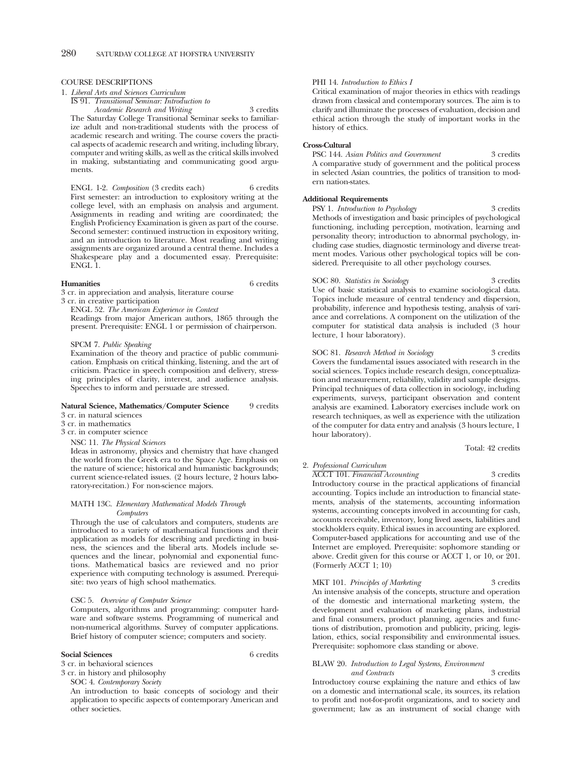# COURSE DESCRIPTIONS

#### 1. *Liberal Arts and Sciences Curriculum*

IS 91. *Transitional Seminar: Introduction to* 

*Academic Research and Writing* 3 credits The Saturday College Transitional Seminar seeks to familiarize adult and non-traditional students with the process of academic research and writing. The course covers the practical aspects of academic research and writing, including library, computer and writing skills, as well as the critical skills involved in making, substantiating and communicating good arguments.

ENGL 1-2. *Composition* (3 credits each) 6 credits First semester: an introduction to explository writing at the college level, with an emphasis on analysis and argument. Assignments in reading and writing are coordinated; the English Proficiency Examination is given as part of the course. Second semester: continued instruction in expository writing, and an introduction to literature. Most reading and writing assignments are organized around a central theme. Includes a Shakespeare play and a documented essay. Prerequisite: ENGL 1.

#### **Humanities** 6 credits

3 cr. in appreciation and analysis, literature course

3 cr. in creative participation

ENGL 52. *The American Experience in Context*  Readings from major American authors, 1865 through the present. Prerequisite: ENGL 1 or permission of chairperson.

#### SPCM 7. *Public Speaking*

Examination of the theory and practice of public communication. Emphasis on critical thinking, listening, and the art of criticism. Practice in speech composition and delivery, stressing principles of clarity, interest, and audience analysis. Speeches to inform and persuade are stressed.

#### Natural Science, Mathematics/Computer Science 9 credits

3 cr. in natural sciences

3 cr. in mathematics

3 cr. in computer science

NSC 11. *The Physical Sciences* 

Ideas in astronomy, physics and chemistry that have changed the world from the Greek era to the Space Age. Emphasis on the nature of science; historical and humanistic backgrounds; current science-related issues. (2 hours lecture, 2 hours laboratory-recitation.) For non-science majors.

#### MATH 13C. *Elementary Mathematical Models Through Computers*

Through the use of calculators and computers, students are introduced to a variety of mathematical functions and their application as models for describing and predicting in business, the sciences and the liberal arts. Models include sequences and the linear, polynomial and exponential functions. Mathematical basics are reviewed and no prior experience with computing technology is assumed. Prerequisite: two years of high school mathematics.

#### CSC 5. *Overview of Computer Science*

Computers, algorithms and programming: computer hardware and software systems. Programming of numerical and non-numerical algorithms. Survey of computer applications. Brief history of computer science; computers and society.

#### **Social Sciences** 6 credits

3 cr. in behavioral sciences

3 cr. in history and philosophy

SOC 4. *Contemporary Society* 

An introduction to basic concepts of sociology and their application to specific aspects of contemporary American and other societies.

#### PHI 14. *Introduction to Ethics I*

Critical examination of major theories in ethics with readings drawn from classical and contemporary sources. The aim is to clarify and illuminate the processes of evaluation, decision and ethical action through the study of important works in the history of ethics.

#### **Cross-Cultural**

PSC 144. *Asian Politics and Government* 3 credits A comparative study of government and the political process in selected Asian countries, the politics of transition to modern nation-states.

#### **Additional Requirements**

PSY 1. *Introduction to Psychology* 3 credits Methods of investigation and basic principles of psychological functioning, including perception, motivation, learning and personality theory; introduction to abnormal psychology, including case studies, diagnostic terminology and diverse treatment modes. Various other psychological topics will be considered. Prerequisite to all other psychology courses.

SOC 80. *Statistics in Sociology* 3 credits Use of basic statistical analysis to examine sociological data. Topics include measure of central tendency and dispersion, probability, inference and hypothesis testing, analysis of variance and correlations. A component on the utilization of the computer for statistical data analysis is included (3 hour lecture, 1 hour laboratory).

SOC 81. *Research Method in Sociology* 3 credits Covers the fundamental issues associated with research in the social sciences. Topics include research design, conceptualization and measurement, reliability, validity and sample designs. Principal techniques of data collection in sociology, including experiments, surveys, participant observation and content analysis are examined. Laboratory exercises include work on research techniques, as well as experience with the utilization of the computer for data entry and analysis (3 hours lecture, 1 hour laboratory).

Total: 42 credits

### 2. *Professional Curriculum*

ACCT 101. *Financial Accounting* 3 credits Introductory course in the practical applications of financial accounting. Topics include an introduction to financial statements, analysis of the statements, accounting information systems, accounting concepts involved in accounting for cash, accounts receivable, inventory, long lived assets, liabilities and stockholders equity. Ethical issues in accounting are explored. Computer-based applications for accounting and use of the Internet are employed. Prerequisite: sophomore standing or above. Credit given for this course or ACCT 1, or 10, or 201. (Formerly ACCT 1; 10)

MKT 101. *Principles of Marketing* 3 credits An intensive analysis of the concepts, structure and operation of the domestic and international marketing system, the development and evaluation of marketing plans, industrial and final consumers, product planning, agencies and functions of distribution, promotion and publicity, pricing, legislation, ethics, social responsibility and environmental issues. Prerequisite: sophomore class standing or above.

#### BLAW 20. *Introduction to Legal Systems, Environment*

*and Contracts* 3 credits Introductory course explaining the nature and ethics of law on a domestic and international scale, its sources, its relation to profit and not-for-profit organizations, and to society and government; law as an instrument of social change with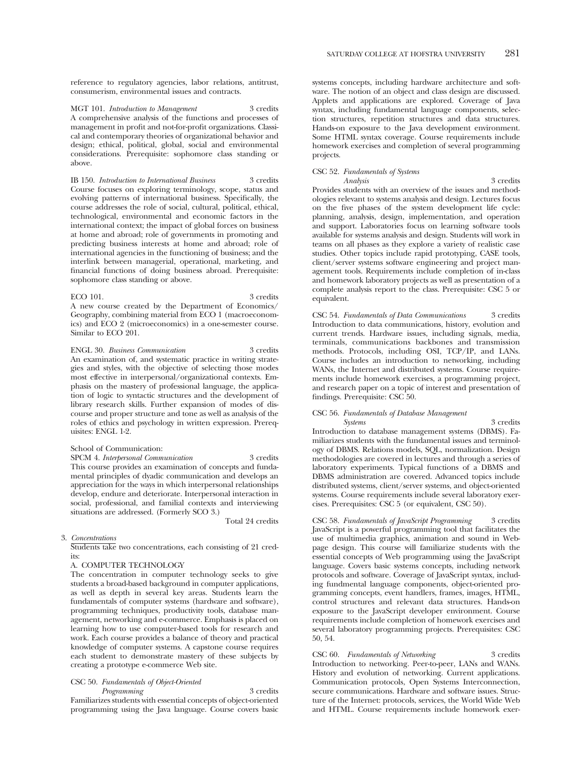reference to regulatory agencies, labor relations, antitrust, consumerism, environmental issues and contracts.

MGT 101. *Introduction to Management* 3 credits A comprehensive analysis of the functions and processes of management in profit and not-for-profit organizations. Classical and contemporary theories of organizational behavior and design; ethical, political, global, social and environmental considerations. Prerequisite: sophomore class standing or above.

IB 150. *Introduction to International Business* 3 credits Course focuses on exploring terminology, scope, status and evolving patterns of international business. Specifically, the course addresses the role of social, cultural, political, ethical, technological, environmental and economic factors in the international context; the impact of global forces on business at home and abroad; role of governments in promoting and predicting business interests at home and abroad; role of international agencies in the functioning of business; and the interlink between managerial, operational, marketing, and financial functions of doing business abroad. Prerequisite: sophomore class standing or above.

#### ECO 101. 3 credits

A new course created by the Department of Economics/ Geography, combining material from ECO 1 (macroeconomics) and ECO 2 (microeconomics) in a one-semester course. Similar to ECO 201.

ENGL 30. *Business Communication* 3 credits An examination of, and systematic practice in writing strategies and styles, with the objective of selecting those modes most effective in interpersonal/organizational contexts. Emphasis on the mastery of professional language, the application of logic to syntactic structures and the development of library research skills. Further expansion of modes of discourse and proper structure and tone as well as analysis of the roles of ethics and psychology in written expression. Prerequisites: ENGL 1-2.

#### School of Communication:

SPCM 4. *Interpersonal Communication* 3 credits This course provides an examination of concepts and fundamental principles of dyadic communication and develops an appreciation for the ways in which interpersonal relationships develop, endure and deteriorate. Interpersonal interaction in social, professional, and familial contexts and interviewing situations are addressed. (Formerly SCO 3.)

Total 24 credits

#### 3. *Concentrations*

Students take two concentrations, each consisting of 21 credits:

# A. COMPUTER TECHNOLOGY

The concentration in computer technology seeks to give students a broad-based background in computer applications, as well as depth in several key areas. Students learn the fundamentals of computer systems (hardware and software), programming techniques, productivity tools, database management, networking and e-commerce. Emphasis is placed on learning how to use computer-based tools for research and work. Each course provides a balance of theory and practical knowledge of computer systems. A capstone course requires each student to demonstrate mastery of these subjects by creating a prototype e-commerce Web site.

#### CSC 50. *Fundamentals of Object-Oriented Programming* 3 credits

Familiarizes students with essential concepts of object-oriented programming using the Java language. Course covers basic

systems concepts, including hardware architecture and software. The notion of an object and class design are discussed. Applets and applications are explored. Coverage of Java syntax, including fundamental language components, selection structures, repetition structures and data structures. Hands-on exposure to the Java development environment. Some HTML syntax coverage. Course requirements include homework exercises and completion of several programming projects.

### CSC 52. *Fundamentals of Systems*

*Analysis* 3 credits Provides students with an overview of the issues and methodologies relevant to systems analysis and design. Lectures focus on the five phases of the system development life cycle: planning, analysis, design, implementation, and operation and support. Laboratories focus on learning software tools available for systems analysis and design. Students will work in teams on all phases as they explore a variety of realistic case studies. Other topics include rapid prototyping, CASE tools, client/server systems software engineering and project management tools. Requirements include completion of in-class and homework laboratory projects as well as presentation of a complete analysis report to the class. Prerequisite: CSC 5 or equivalent.

CSC 54. *Fundamentals of Data Communications* 3 credits Introduction to data communications, history, evolution and current trends. Hardware issues, including signals, media, terminals, communications backbones and transmission methods. Protocols, including OSI, TCP/IP, and LANs. Course includes an introduction to networking, including WANs, the Internet and distributed systems. Course requirements include homework exercises, a programming project, and research paper on a topic of interest and presentation of findings. Prerequisite: CSC 50.

#### CSC 56. *Fundamentals of Database Management Systems* 3 credits

Introduction to database management systems (DBMS). Familiarizes students with the fundamental issues and terminology of DBMS. Relations models, SQL, normalization. Design methodologies are covered in lectures and through a series of laboratory experiments. Typical functions of a DBMS and DBMS administration are covered. Advanced topics include distributed systems, client/server systems, and object-oriented systems. Course requirements include several laboratory exercises. Prerequisites: CSC 5 (or equivalent, CSC 50).

CSC 58. *Fundamentals of JavaScript Programming* 3 credits JavaScript is a powerful programming tool that facilitates the use of multimedia graphics, animation and sound in Webpage design. This course will familiarize students with the essential concepts of Web programming using the JavaScript language. Covers basic systems concepts, including network protocols and software. Coverage of JavaScript syntax, including fundmental language components, object-oriented programming concepts, event handlers, frames, images, HTML, control structures and relevant data structures. Hands-on exposure to the JavaScript developer environment. Course requirements include completion of homework exercises and several laboratory programming projects. Prerequisites: CSC 50, 54.

CSC 60. Fundamentals of Networking 3 credits Introduction to networking. Peer-to-peer, LANs and WANs. History and evolution of networking. Current applications. Communication protocols, Open Systems Interconnection, secure communications. Hardware and software issues. Structure of the Internet: protocols, services, the World Wide Web and HTML. Course requirements include homework exer-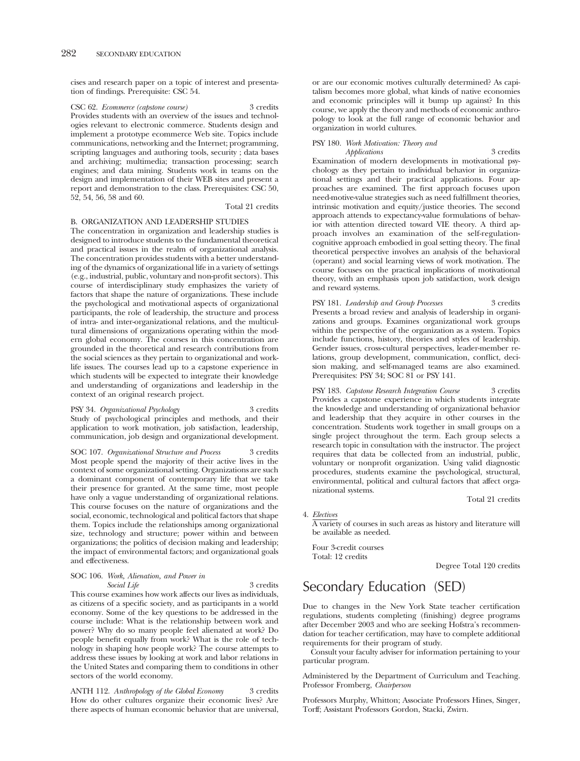cises and research paper on a topic of interest and presentation of findings. Prerequisite: CSC 54.

CSC 62. *Ecommerce (capstone course)* 3 credits Provides students with an overview of the issues and technologies relevant to electronic commerce. Students design and implement a prototype ecommerce Web site. Topics include communications, networking and the Internet; programming, scripting languages and authoring tools, security ; data bases and archiving; multimedia; transaction processing; search engines; and data mining. Students work in teams on the design and implementation of their WEB sites and present a report and demonstration to the class. Prerequisites: CSC 50, 52, 54, 56, 58 and 60.

Total 21 credits

# B. ORGANIZATION AND LEADERSHIP STUDIES

The concentration in organization and leadership studies is designed to introduce students to the fundamental theoretical and practical issues in the realm of organizational analysis. The concentration provides students with a better understanding of the dynamics of organizational life in a variety of settings (e.g., industrial, public, voluntary and non-profit sectors). This course of interdisciplinary study emphasizes the variety of factors that shape the nature of organizations. These include the psychological and motivational aspects of organizational participants, the role of leadership, the structure and process of intra- and inter-organizational relations, and the multicultural dimensions of organizations operating within the modern global economy. The courses in this concentration are grounded in the theoretical and research contributions from the social sciences as they pertain to organizational and worklife issues. The courses lead up to a capstone experience in which students will be expected to integrate their knowledge and understanding of organizations and leadership in the context of an original research project.

PSY 34. *Organizational Psychology* 3 credits Study of psychological principles and methods, and their application to work motivation, job satisfaction, leadership, communication, job design and organizational development.

SOC 107. Organizational Structure and Process 3 credits Most people spend the majority of their active lives in the context of some organizational setting. Organizations are such a dominant component of contemporary life that we take their presence for granted. At the same time, most people have only a vague understanding of organizational relations. This course focuses on the nature of organizations and the social, economic, technological and political factors that shape them. Topics include the relationships among organizational size, technology and structure; power within and between organizations; the politics of decision making and leadership; the impact of environmental factors; and organizational goals and effectiveness.

#### SOC 106. *Work, Alienation, and Power in Social Life* 3 credits

This course examines how work affects our lives as individuals, as citizens of a specific society, and as participants in a world economy. Some of the key questions to be addressed in the course include: What is the relationship between work and power? Why do so many people feel alienated at work? Do people benefit equally from work? What is the role of technology in shaping how people work? The course attempts to address these issues by looking at work and labor relations in the United States and comparing them to conditions in other sectors of the world economy.

ANTH 112. *Anthropology of the Global Economy* 3 credits How do other cultures organize their economic lives? Are there aspects of human economic behavior that are universal, or are our economic motives culturally determined? As capitalism becomes more global, what kinds of native economies and economic principles will it bump up against? In this course, we apply the theory and methods of economic anthropology to look at the full range of economic behavior and organization in world cultures.

# PSY 180. *Work Motivation: Theory and*

*Applications* 3 credits Examination of modern developments in motivational psychology as they pertain to individual behavior in organizational settings and their practical applications. Four approaches are examined. The first approach focuses upon need-motive-value strategies such as need fulfillment theories, intrinsic motivation and equity/justice theories. The second approach attends to expectancy-value formulations of behavior with attention directed toward VIE theory. A third approach involves an examination of the self-regulationcognitive approach embodied in goal setting theory. The final theoretical perspective involves an analysis of the behavioral (operant) and social learning views of work motivation. The course focuses on the practical implications of motivational theory, with an emphasis upon job satisfaction, work design and reward systems.

PSY 181. *Leadership and Group Processes* 3 credits Presents a broad review and analysis of leadership in organizations and groups. Examines organizational work groups within the perspective of the organization as a system. Topics include functions, history, theories and styles of leadership. Gender issues, cross-cultural perspectives, leader-member relations, group development, communication, conflict, decision making, and self-managed teams are also examined. Prerequisites: PSY 34; SOC 81 or PSY 141.

PSY 183. *Capstone Research Integration Course* 3 credits Provides a capstone experience in which students integrate the knowledge and understanding of organizational behavior and leadership that they acquire in other courses in the concentration. Students work together in small groups on a single project throughout the term. Each group selects a research topic in consultation with the instructor. The project requires that data be collected from an industrial, public, voluntary or nonprofit organization. Using valid diagnostic procedures, students examine the psychological, structural, environmental, political and cultural factors that affect organizational systems.

Total 21 credits

# 4. *Electives*<br>A variety

A variety of courses in such areas as history and literature will be available as needed.

Four 3-credit courses Total: 12 credits

Degree Total 120 credits

# Secondary Education (SED)

Due to changes in the New York State teacher certification regulations, students completing (finishing) degree programs after December 2003 and who are seeking Hofstra's recommendation for teacher certification, may have to complete additional requirements for their program of study.

Consult your faculty adviser for information pertaining to your particular program.

Administered by the Department of Curriculum and Teaching. Professor Fromberg, *Chairperson* 

Professors Murphy, Whitton; Associate Professors Hines, Singer, Torff; Assistant Professors Gordon, Stacki, Zwirn.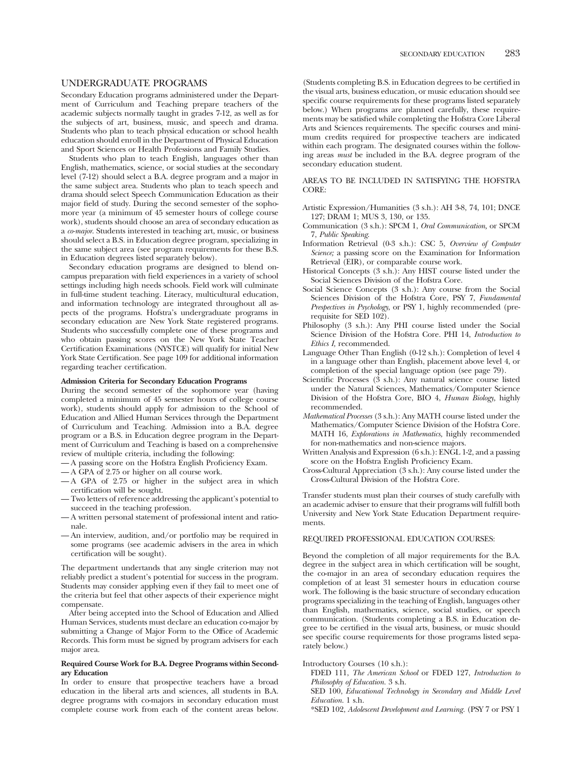# UNDERGRADUATE PROGRAMS

Secondary Education programs administered under the Department of Curriculum and Teaching prepare teachers of the academic subjects normally taught in grades 7-12, as well as for the subjects of art, business, music, and speech and drama. Students who plan to teach physical education or school health education should enroll in the Department of Physical Education and Sport Sciences or Health Professions and Family Studies.

Students who plan to teach English, languages other than English, mathematics, science, or social studies at the secondary level (7-12) should select a B.A. degree program and a major in the same subject area. Students who plan to teach speech and drama should select Speech Communication Education as their major field of study. During the second semester of the sophomore year (a minimum of 45 semester hours of college course work), students should choose an area of secondary education as a *co-major*. Students interested in teaching art, music, or business should select a B.S. in Education degree program, specializing in the same subject area (see program requirements for these B.S. in Education degrees listed separately below).

Secondary education programs are designed to blend oncampus preparation with field experiences in a variety of school settings including high needs schools. Field work will culminate in full-time student teaching. Literacy, multicultural education, and information technology are integrated throughout all aspects of the programs. Hofstra's undergraduate programs in secondary education are New York State registered programs. Students who successfully complete one of these programs and who obtain passing scores on the New York State Teacher Certification Examinations (NYSTCE) will qualify for initial New York State Certification. See page 109 for additional information regarding teacher certification.

#### **Admission Criteria for Secondary Education Programs**

During the second semester of the sophomore year (having completed a minimum of 45 semester hours of college course work), students should apply for admission to the School of Education and Allied Human Services through the Department of Curriculum and Teaching. Admission into a B.A. degree program or a B.S. in Education degree program in the Department of Curriculum and Teaching is based on a comprehensive review of multiple criteria, including the following:

- A passing score on the Hofstra English Proficiency Exam.
- A GPA of 2.75 or higher on all course work.
- A GPA of 2.75 or higher in the subject area in which certification will be sought.
- Two letters of reference addressing the applicant's potential to succeed in the teaching profession.
- A written personal statement of professional intent and rationale.
- An interview, audition, and/or portfolio may be required in some programs (see academic advisers in the area in which certification will be sought).

The department undertands that any single criterion may not reliably predict a student's potential for success in the program. Students may consider applying even if they fail to meet one of the criteria but feel that other aspects of their experience might compensate.

After being accepted into the School of Education and Allied Human Services, students must declare an education co-major by submitting a Change of Major Form to the Office of Academic Records. This form must be signed by program advisers for each major area.

#### **Required Course Work for B.A. Degree Programs within Secondary Education**

In order to ensure that prospective teachers have a broad education in the liberal arts and sciences, all students in B.A. degree programs with co-majors in secondary education must complete course work from each of the content areas below.

(Students completing B.S. in Education degrees to be certified in the visual arts, business education, or music education should see specific course requirements for these programs listed separately below.) When programs are planned carefully, these requirements may be satisfied while completing the Hofstra Core Liberal Arts and Sciences requirements. The specific courses and minimum credits required for prospective teachers are indicated within each program. The designated courses within the following areas *must* be included in the B.A. degree program of the secondary education student.

AREAS TO BE INCLUDED IN SATISFYING THE HOFSTRA CORE:

- Artistic Expression/Humanities (3 s.h.): AH 3-8, 74, 101; DNCE 127; DRAM 1; MUS 3, 130, or 135.
- Communication (3 s.h.): SPCM 1, *Oral Communication,* or SPCM 7, *Public Speaking*.
- Information Retrieval (0-3 s.h.): CSC 5, *Overview of Computer Science;* a passing score on the Examination for Information Retrieval (EIR), or comparable course work.
- Historical Concepts (3 s.h.): Any HIST course listed under the Social Sciences Division of the Hofstra Core.
- Social Science Concepts (3 s.h.): Any course from the Social Sciences Division of the Hofstra Core, PSY 7, *Fundamental Prespectives in Psychology*, or PSY 1, highly recommended (prerequisite for SED 102).
- Philosophy (3 s.h.): Any PHI course listed under the Social Science Division of the Hofstra Core. PHI 14, *Introduction to Ethics I,* recommended.
- Language Other Than English (0-12 s.h.): Completion of level 4 in a language other than English, placement above level 4, or completion of the special language option (see page 79).
- Scientific Processes (3 s.h.): Any natural science course listed under the Natural Sciences, Mathematics/Computer Science Division of the Hofstra Core, BIO 4, *Human Biology,* highly recommended.
- *Mathematical Processes* (3 s.h.): Any MATH course listed under the Mathematics/Computer Science Division of the Hofstra Core. MATH 16, *Explorations in Mathematics,* highly recommended for non-mathematics and non-science majors.
- Written Analysis and Expression (6 s.h.): ENGL 1-2, and a passing score on the Hofstra English Proficiency Exam.
- Cross-Cultural Appreciation (3 s.h.): Any course listed under the Cross-Cultural Division of the Hofstra Core.

Transfer students must plan their courses of study carefully with an academic adviser to ensure that their programs will fulfill both University and New York State Education Department requirements.

#### REQUIRED PROFESSIONAL EDUCATION COURSES:

Beyond the completion of all major requirements for the B.A. degree in the subject area in which certification will be sought, the co-major in an area of secondary education requires the completion of at least 31 semester hours in education course work. The following is the basic structure of secondary education programs specializing in the teaching of English, languages other than English, mathematics, science, social studies, or speech communication. (Students completing a B.S. in Education degree to be certified in the visual arts, business, or music should see specific course requirements for those programs listed separately below.)

#### Introductory Courses (10 s.h.):

FDED 111, *The American School* or FDED 127, *Introduction to Philosophy of Education.* 3 s.h.

SED 100, *Educational Technology in Secondary and Middle Level Education.* 1 s.h.

\*SED 102, *Adolescent Development and Learning.* (PSY 7 or PSY 1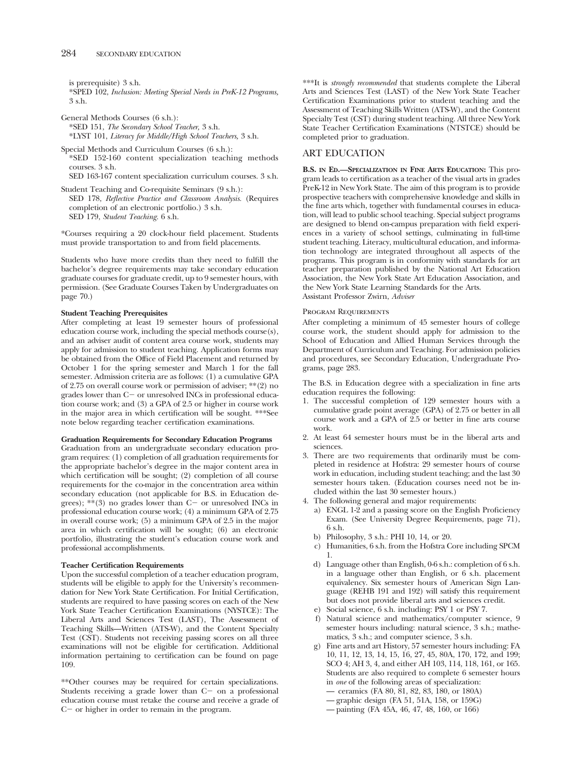is prerequisite) 3 s.h. \*SPED 102, *Inclusion: Meeting Special Needs in PreK-12 Programs,*  3 s.h.

- General Methods Courses (6 s.h.): \*SED 151, *The Secondary School Teacher,* 3 s.h. \*LYST 101, *Literacy for Middle/High School Teachers,* 3 s.h.
- Special Methods and Curriculum Courses (6 s.h.): \*SED 152-160 content specialization teaching methods courses. 3 s.h. SED 163-167 content specialization curriculum courses. 3 s.h.
- Student Teaching and Co-requisite Seminars (9 s.h.): SED 178, *Reflective Practice and Classroom Analysis.* (Requires completion of an electronic portfolio.) 3 s.h. SED 179, *Student Teaching.* 6 s.h.

\*Courses requiring a 20 clock-hour field placement. Students must provide transportation to and from field placements.

Students who have more credits than they need to fulfill the bachelor's degree requirements may take secondary education graduate courses for graduate credit, up to 9 semester hours, with permission. (See Graduate Courses Taken by Undergraduates on page 70.)

#### **Student Teaching Prerequisites**

After completing at least 19 semester hours of professional education course work, including the special methods course(s), and an adviser audit of content area course work, students may apply for admission to student teaching. Application forms may be obtained from the Office of Field Placement and returned by October 1 for the spring semester and March 1 for the fall semester. Admission criteria are as follows: (1) a cumulative GPA of 2.75 on overall course work or permission of adviser; \*\*(2) no grades lower than  $C-$  or unresolved INCs in professional education course work; and (3) a GPA of 2.5 or higher in course work in the major area in which certification will be sought. \*\*\*See note below regarding teacher certification examinations.

#### **Graduation Requirements for Secondary Education Programs**

Graduation from an undergraduate secondary education program requires: (1) completion of all graduation requirements for the appropriate bachelor's degree in the major content area in which certification will be sought; (2) completion of all course requirements for the co-major in the concentration area within secondary education (not applicable for B.S. in Education degrees);  $**$ (3) no grades lower than C- or unresolved INCs in professional education course work; (4) a minimum GPA of 2.75 in overall course work; (5) a minimum GPA of 2.5 in the major area in which certification will be sought; (6) an electronic portfolio, illustrating the student's education course work and professional accomplishments.

#### **Teacher Certification Requirements**

Upon the successful completion of a teacher education program, students will be eligible to apply for the University's recommendation for New York State Certification. For Initial Certification, students are required to have passing scores on each of the New York State Teacher Certification Examinations (NYSTCE): The Liberal Arts and Sciences Test (LAST), The Assessment of Teaching Skills—Written (ATS-W), and the Content Specialty Test (CST). Students not receiving passing scores on all three examinations will not be eligible for certification. Additional information pertaining to certification can be found on page 109.

\*\*Other courses may be required for certain specializations. Students receiving a grade lower than  $C-$  on a professional education course must retake the course and receive a grade of  $C$  - or higher in order to remain in the program.

\*\*\*It is *strongly recommended* that students complete the Liberal Arts and Sciences Test (LAST) of the New York State Teacher Certification Examinations prior to student teaching and the Assessment of Teaching Skills Written (ATS-W), and the Content Specialty Test (CST) during student teaching. All three New York State Teacher Certification Examinations (NTSTCE) should be completed prior to graduation.

# ART EDUCATION

**B.S. IN ED.—SPECIALIZATION IN FINE ARTS EDUCATION:** This program leads to certification as a teacher of the visual arts in grades PreK-12 in New York State. The aim of this program is to provide prospective teachers with comprehensive knowledge and skills in the fine arts which, together with fundamental courses in education, will lead to public school teaching. Special subject programs are designed to blend on-campus preparation with field experiences in a variety of school settings, culminating in full-time student teaching. Literacy, multicultural education, and information technology are integrated throughout all aspects of the programs. This program is in conformity with standards for art teacher preparation published by the National Art Education Association, the New York State Art Education Association, and the New York State Learning Standards for the Arts. Assistant Professor Zwirn, *Adviser* 

### Program Requirements

After completing a minimum of 45 semester hours of college course work, the student should apply for admission to the School of Education and Allied Human Services through the Department of Curriculum and Teaching. For admission policies and procedures, see Secondary Education, Undergraduate Programs, page 283.

The B.S. in Education degree with a specialization in fine arts education requires the following:

- 1. The successful completion of 129 semester hours with a cumulative grade point average (GPA) of 2.75 or better in all course work and a GPA of 2.5 or better in fine arts course work.
- 2. At least 64 semester hours must be in the liberal arts and sciences.
- 3. There are two requirements that ordinarily must be completed in residence at Hofstra: 29 semester hours of course work in education, including student teaching; and the last 30 semester hours taken. (Education courses need not be included within the last 30 semester hours.)
- 4. The following general and major requirements:
	- a) ENGL 1-2 and a passing score on the English Proficiency Exam. (See University Degree Requirements, page 71), 6 s.h.
	- b) Philosophy, 3 s.h.: PHI 10, 14, or 20.
	- c) Humanities, 6 s.h. from the Hofstra Core including SPCM 1.
	- d) Language other than English, 0-6 s.h.: completion of 6 s.h. in a language other than English, or 6 s.h. placement equivalency. Six semester hours of American Sign Language (REHB 191 and 192) will satisfy this requirement but does not provide liberal arts and sciences credit.
	- e) Social science, 6 s.h. including: PSY 1 or PSY 7.
	- f) Natural science and mathematics/computer science, 9 semester hours including: natural science, 3 s.h.; mathematics, 3 s.h.; and computer science, 3 s.h.
	- g) Fine arts and art History, 57 semester hours including: FA 10, 11, 12, 13, 14, 15, 16, 27, 45, 80A, 170, 172, and 199; SCO 4; AH 3, 4, and either AH 103, 114, 118, 161, or 165. Students are also required to complete 6 semester hours in *one* of the following areas of specialization:
		- ceramics (FA 80, 81, 82, 83, 180, or 180A)
		- graphic design (FA 51, 51A, 158, or 159G)
		- painting (FA 45A, 46, 47, 48, 160, or 166)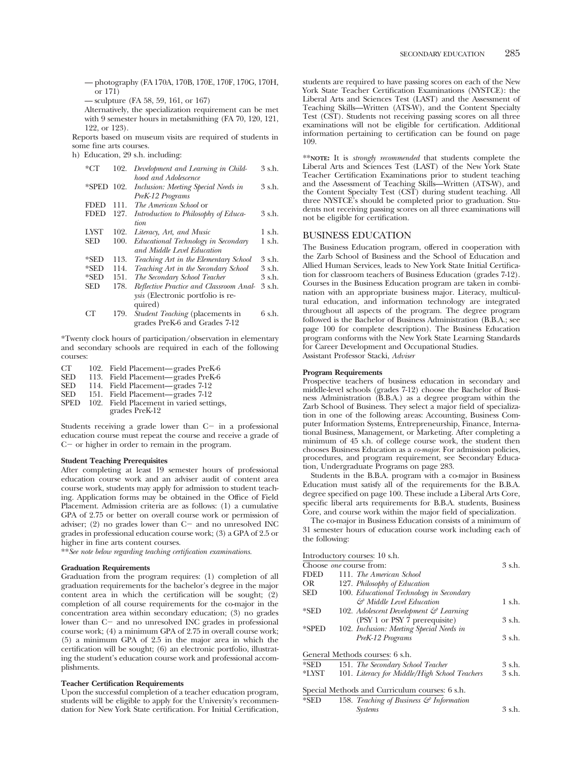— photography (FA 170A, 170B, 170E, 170F, 170G, 170H, or 171)

— sculpture (FA 58, 59, 161, or 167)

Alternatively, the specialization requirement can be met with 9 semester hours in metalsmithing (FA 70, 120, 121, 122, or 123).

Reports based on museum visits are required of students in some fine arts courses.

h) Education, 29 s.h. including:

| *CT         | 102. | Development and Learning in Child-       | 3 s.h. |
|-------------|------|------------------------------------------|--------|
|             |      | hood and Adolescence                     |        |
| *SPED 102.  |      | Inclusion: Meeting Special Needs in      | 3 s.h. |
|             |      | PreK-12 Programs                         |        |
| FDED        | 111. | The American School or                   |        |
| FDED        | 127. | Introduction to Philosophy of Educa-     | 3 s.h. |
|             |      | tion                                     |        |
| <b>LYST</b> | 102. | Literacy, Art, and Music                 | 1 s.h. |
| SED         | 100. | Educational Technology in Secondary      | 1 s.h. |
|             |      | and Middle Level Education               |        |
| *SED        | 113. | Teaching Art in the Elementary School    | 3 s.h. |
| *SED        | 114. | Teaching Art in the Secondary School     | 3 s.h. |
| $*$ SED     | 151. | The Secondary School Teacher             | 3 s.h. |
| SED         | 178. | Reflective Practice and Classroom Anal-  | 3 s.h. |
|             |      | <i>ysis</i> (Electronic portfolio is re- |        |
|             |      | quired)                                  |        |
| CТ          | 179. | <i>Student Teaching</i> (placements in   | 6 s.h. |
|             |      | grades PreK-6 and Grades 7-12            |        |

\*Twenty clock hours of participation/observation in elementary and secondary schools are required in each of the following courses:

| CT.         | 102. Field Placement—grades PreK-6       |
|-------------|------------------------------------------|
| <b>SED</b>  | 113. Field Placement—grades PreK-6       |
| <b>SED</b>  | 114. Field Placement—grades 7-12         |
| <b>SED</b>  | 151. Field Placement—grades 7-12         |
| <b>SPED</b> | 102. Field Placement in varied settings, |
|             | grades PreK-12                           |

Students receiving a grade lower than  $C$  in a professional education course must repeat the course and receive a grade of  $C$  - or higher in order to remain in the program.

#### **Student Teaching Prerequisites**

After completing at least 19 semester hours of professional education course work and an adviser audit of content area course work, students may apply for admission to student teaching. Application forms may be obtained in the Office of Field Placement. Admission criteria are as follows: (1) a cumulative GPA of 2.75 or better on overall course work or permission of adviser;  $(2)$  no grades lower than  $C$  and no unresolved INC grades in professional education course work; (3) a GPA of 2.5 or higher in fine arts content courses.

\*\**See note below regarding teaching certification examinations.* 

#### **Graduation Requirements**

Graduation from the program requires: (1) completion of all graduation requirements for the bachelor's degree in the major content area in which the certification will be sought; (2) completion of all course requirements for the co-major in the concentration area within secondary education; (3) no grades lower than C- and no unresolved INC grades in professional course work; (4) a minimum GPA of 2.75 in overall course work; (5) a minimum GPA of 2.5 in the major area in which the certification will be sought; (6) an electronic portfolio, illustrating the student's education course work and professional accomplishments.

#### **Teacher Certification Requirements**

Upon the successful completion of a teacher education program, students will be eligible to apply for the University's recommendation for New York State certification. For Initial Certification,

students are required to have passing scores on each of the New York State Teacher Certification Examinations (NYSTCE): the Liberal Arts and Sciences Test (LAST) and the Assessment of Teaching Skills—Written (ATS-W), and the Content Specialty Test (CST). Students not receiving passing scores on all three examinations will not be eligible for certification. Additional information pertaining to certification can be found on page 109.

\*\***NOTE:** It is *strongly recommended* that students complete the Liberal Arts and Sciences Test (LAST) of the New York State Teacher Certification Examinations prior to student teaching and the Assessment of Teaching Skills—Written (ATS-W), and the Content Specialty Test (CST) during student teaching. All three NYSTCE's should be completed prior to graduation. Students not receiving passing scores on all three examinations will not be eligible for certification.

# BUSINESS EDUCATION

The Business Education program, offered in cooperation with the Zarb School of Business and the School of Education and Allied Human Services, leads to New York State Initial Certification for classroom teachers of Business Education (grades 7-12). Courses in the Business Education program are taken in combination with an appropriate business major. Literacy, multicultural education, and information technology are integrated throughout all aspects of the program. The degree program followed is the Bachelor of Business Administration (B.B.A.; see page 100 for complete description). The Business Education program conforms with the New York State Learning Standards for Career Development and Occupational Studies. Assistant Professor Stacki, *Adviser* 

#### **Program Requirements**

Prospective teachers of business education in secondary and middle-level schools (grades 7-12) choose the Bachelor of Business Administration (B.B.A.) as a degree program within the Zarb School of Business. They select a major field of specialization in one of the following areas: Accounting, Business Computer Information Systems, Entrepreneurship, Finance, International Business, Management, or Marketing. After completing a minimum of 45 s.h. of college course work, the student then chooses Business Education as a *co-major*. For admission policies, procedures, and program requirement, see Secondary Education, Undergraduate Programs on page 283.

Students in the B.B.A. program with a co-major in Business Education must satisfy all of the requirements for the B.B.A. degree specified on page 100. These include a Liberal Arts Core, specific liberal arts requirements for B.B.A. students, Business Core, and course work within the major field of specialization.

The co-major in Business Education consists of a minimum of 31 semester hours of education course work including each of the following:

Introductory courses: 10 s.h.

|             | Choose <i>one</i> course from:                     | 3 s.h. |
|-------------|----------------------------------------------------|--------|
| <b>FDED</b> | 111. The American School                           |        |
| OR          | 127. Philosophy of Education                       |        |
| <b>SED</b>  | 100. Educational Technology in Secondary           |        |
|             | & Middle Level Education                           | 1 s.h. |
| $*$ SED     | 102. Adolescent Development $\mathcal{C}$ Learning |        |
|             | (PSY 1 or PSY 7 prerequisite)                      | 3 s.h. |
| *SPED       | 102. Inclusion: Meeting Special Needs in           |        |
|             | PreK-12 Programs                                   | 3 s.h. |
|             | General Methods courses: 6 s.h.                    |        |
| $*$ SED     | 151. The Secondary School Teacher                  | 3 s.h. |

\*LYST 101. *Literacy for Middle/High School Teachers*  3 s.h.

Special Methods and Curriculum courses: 6 s.h.

| *SED |                |  | 158. Teaching of Business $\mathcal G$ Information |        |
|------|----------------|--|----------------------------------------------------|--------|
|      | <b>Systems</b> |  |                                                    | 3 s.h. |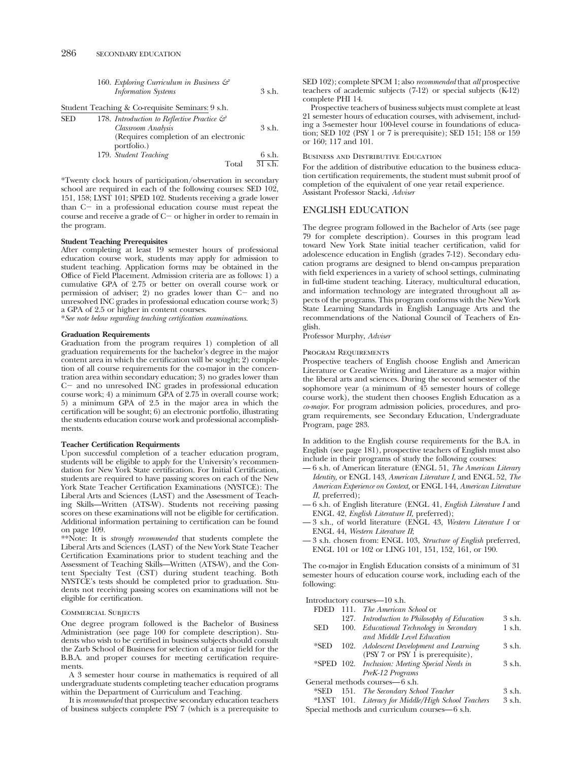|                            | 160. Exploring Curriculum in Business $\mathcal{C}$ |  |        |  |
|----------------------------|-----------------------------------------------------|--|--------|--|
| <b>Information</b> Systems |                                                     |  | 3 s.h. |  |

Student Teaching & Co-requisite Seminars: 9 s.h.

| <b>SED</b> | 178. Introduction to Reflective Practice $\mathcal{S}$ |           |
|------------|--------------------------------------------------------|-----------|
|            | Classroom Analysis                                     | 3 s.h.    |
|            | (Requires completion of an electronic                  |           |
|            | portfolio.)                                            |           |
|            | 179. Student Teaching                                  | 6 s.h.    |
|            | Total                                                  | $31$ s.h. |

\*Twenty clock hours of participation/observation in secondary school are required in each of the following courses: SED 102, 151, 158; LYST 101; SPED 102. Students receiving a grade lower than  $C$  in a professional education course must repeat the course and receive a grade of  $C-$  or higher in order to remain in the program.

#### **Student Teaching Prerequisites**

After completing at least 19 semester hours of professional education course work, students may apply for admission to student teaching. Application forms may be obtained in the Office of Field Placement. Admission criteria are as follows: 1) a cumulative GPA of 2.75 or better on overall course work or permission of adviser; 2) no grades lower than  $C-$  and no unresolved INC grades in professional education course work; 3) a GPA of 2.5 or higher in content courses.

\**See note below regarding teaching certification examinations.* 

#### **Graduation Requirements**

Graduation from the program requires 1) completion of all graduation requirements for the bachelor's degree in the major content area in which the certification will be sought; 2) completion of all course requirements for the co-major in the concentration area within secondary education; 3) no grades lower than  $C-$  and no unresolved INC grades in professional education course work; 4) a minimum GPA of 2.75 in overall course work; 5) a minimum GPA of 2.5 in the major area in which the certification will be sought; 6) an electronic portfolio, illustrating the students education course work and professional accomplishments.

#### **Teacher Certification Requirments**

Upon successful completion of a teacher education program, students will be eligible to apply for the University's recommendation for New York State certification. For Initial Certification, students are required to have passing scores on each of the New York State Teacher Certification Examinations (NYSTCE): The Liberal Arts and Sciences (LAST) and the Assessment of Teaching Skills—Written (ATS-W). Students not receiving passing scores on these examinations will not be eligible for certification. Additional information pertaining to certification can be found on page 109.

\*\*Note: It is *strongly recommended* that students complete the Liberal Arts and Sciences (LAST) of the New York State Teacher Certification Examinations prior to student teaching and the Assessment of Teaching Skills—Written (ATS-W), and the Content Specialty Test (CST) during student teaching. Both NYSTCE's tests should be completed prior to graduation. Students not receiving passing scores on examinations will not be eligible for certification.

#### Commercial Subjects

One degree program followed is the Bachelor of Business Administration (see page 100 for complete description). Students who wish to be certified in business subjects should consult the Zarb School of Business for selection of a major field for the B.B.A. and proper courses for meeting certification requirements.

A 3 semester hour course in mathematics is required of all undergraduate students completing teacher education programs within the Department of Curriculum and Teaching.

It is *recommended* that prospective secondary education teachers of business subjects complete PSY 7 (which is a prerequisite to SED 102); complete SPCM 1; also *recommended* that *all* prospective teachers of academic subjects (7-12) or special subjects (K-12) complete PHI 14.

Prospective teachers of business subjects must complete at least 21 semester hours of education courses, with advisement, including a 3-semester hour 100-level course in foundations of education; SED 102 (PSY 1 or 7 is prerequisite); SED 151; 158 or 159 or 160; 117 and 101.

#### **BUSINESS AND DISTRIBUTIVE EDUCATION**

For the addition of distributive education to the business education certification requirements, the student must submit proof of completion of the equivalent of one year retail experience. Assistant Professor Stacki, *Adviser* 

# ENGLISH EDUCATION

The degree program followed in the Bachelor of Arts (see page 79 for complete description). Courses in this program lead toward New York State initial teacher certification, valid for adolescence education in English (grades 7-12). Secondary education programs are designed to blend on-campus preparation with field experiences in a variety of school settings, culminating in full-time student teaching. Literacy, multicultural education, and information technology are integrated throughout all aspects of the programs. This program conforms with the New York State Learning Standards in English Language Arts and the recommendations of the National Council of Teachers of English.

Professor Murphy, *Adviser* 

#### Program Requirements

Prospective teachers of English choose English and American Literature or Creative Writing and Literature as a major within the liberal arts and sciences. During the second semester of the sophomore year (a minimum of 45 semester hours of college course work), the student then chooses English Education as a *co-major*. For program admission policies, procedures, and program requirements, see Secondary Education, Undergraduate Program, page 283.

In addition to the English course requirements for the B.A. in English (see page 181), prospective teachers of English must also include in their programs of study the following courses:

- 6 s.h. of American literature (ENGL 51, *The American Literary Identity,* or ENGL 143, *American Literature I,* and ENGL 52, *The American Experience on Context,* or ENGL 144, *American Literature II,* preferred);
- 6 s.h. of English literature (ENGL 41, *English Literature I* and ENGL 42, *English Literature II,* preferred);
- 3 s.h., of world literature (ENGL 43, *Western Literature I* or ENGL 44, *Western Literature II*;
- 3 s.h. chosen from: ENGL 103, *Structure of English* preferred, ENGL 101 or 102 or LING 101, 151, 152, 161, or 190.

The co-major in English Education consists of a minimum of 31 semester hours of education course work, including each of the following:

Introductory courses—10 s.h.

|            | FDED 111. The American School or               |              |
|------------|------------------------------------------------|--------------|
|            | 127. Introduction to Philosophy of Education   | 3 s.h.       |
| <b>SED</b> | 100. Educational Technology in Secondary       | 1 s.h.       |
|            | and Middle Level Education                     |              |
| *SED       | 102. Adolescent Development and Learning       | 3 s.h.       |
|            | (PSY 7 or PSY 1 is prerequisite),              |              |
|            | *SPED 102. Inclusion: Meeting Special Needs in | 3 s.h.       |
|            | PreK-12 Programs                               |              |
|            | General methods courses—6 s.h.                 |              |
|            | *SED 151. The Secondary School Teacher         | 3 s.h.       |
| ALL THAT   |                                                | $^{\circ}$ 1 |

\*LYST 101. *Literacy for Middle/High School Teachers* 3 s.h. Special methods and curriculum courses— 6 s.h.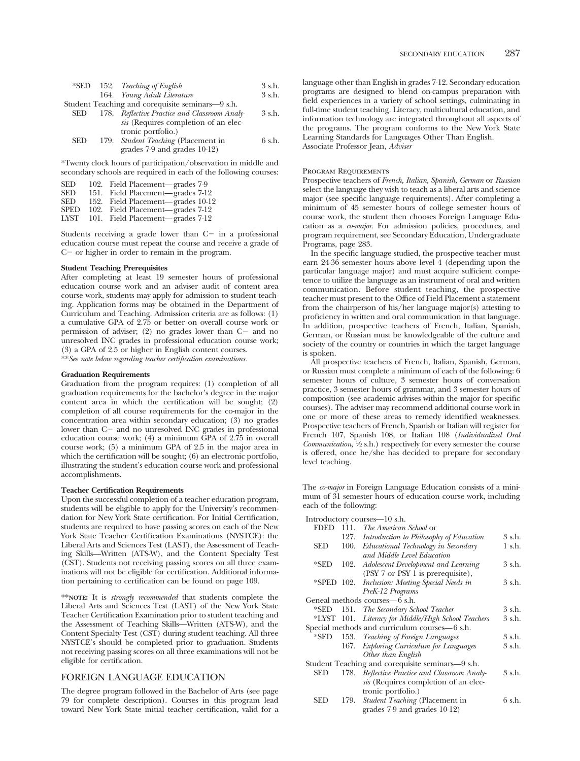|            |      | *SED 152. Teaching of English                    | 3 s.h. |
|------------|------|--------------------------------------------------|--------|
|            |      | 164. Young Adult Literature                      | 3 s.h. |
|            |      | Student Teaching and corequisite seminars-9 s.h. |        |
| SED        |      | 178. Reflective Practice and Classroom Analy-    | 3 s.h. |
|            |      | sis (Requires completion of an elec-             |        |
|            |      | tronic portfolio.)                               |        |
| <b>SED</b> | 179. | <i>Student Teaching</i> (Placement in            | 6 s.h. |
|            |      | grades 7-9 and grades 10-12)                     |        |

\*Twenty clock hours of participation/observation in middle and secondary schools are required in each of the following courses:

| <b>SED</b>  | 102. Field Placement—grades 7-9   |
|-------------|-----------------------------------|
| <b>SED</b>  | 151. Field Placement—grades 7-12  |
| <b>SED</b>  | 152. Field Placement—grades 10-12 |
| <b>SPED</b> | 102. Field Placement—grades 7-12  |
| LYST        | 101. Field Placement—grades 7-12  |

Students receiving a grade lower than  $C$  in a professional education course must repeat the course and receive a grade of  $C$  - or higher in order to remain in the program.

#### **Student Teaching Prerequisites**

After completing at least 19 semester hours of professional education course work and an adviser audit of content area course work, students may apply for admission to student teaching. Application forms may be obtained in the Department of Curriculum and Teaching. Admission criteria are as follows: (1) a cumulative GPA of 2.75 or better on overall course work or permission of adviser; (2) no grades lower than  $C-$  and no unresolved INC grades in professional education course work; (3) a GPA of 2.5 or higher in English content courses. \*\**See note below regarding teacher certification examinations.* 

#### **Graduation Requirements**

Graduation from the program requires: (1) completion of all graduation requirements for the bachelor's degree in the major content area in which the certification will be sought; (2) completion of all course requirements for the co-major in the concentration area within secondary education; (3) no grades lower than  $C<sub>-</sub>$  and no unresolved INC grades in professional education course work; (4) a minimum GPA of 2.75 in overall course work; (5) a minimum GPA of 2.5 in the major area in which the certification will be sought; (6) an electronic portfolio, illustrating the student's education course work and professional accomplishments.

#### **Teacher Certification Requirements**

Upon the successful completion of a teacher education program, students will be eligible to apply for the University's recommendation for New York State certification. For Initial Certification, students are required to have passing scores on each of the New York State Teacher Certification Examinations (NYSTCE): the Liberal Arts and Sciences Test (LAST), the Assessment of Teaching Skills—Written (ATS-W), and the Content Specialty Test (CST). Students not receiving passing scores on all three examinations will not be eligible for certification. Additional information pertaining to certification can be found on page 109.

\*\***NOTE:** It is *strongly recommended* that students complete the Liberal Arts and Sciences Test (LAST) of the New York State Teacher Certification Examination prior to student teaching and the Assessment of Teaching Skills—Written (ATS-W), and the Content Specialty Test (CST) during student teaching. All three NYSTCE's should be completed prior to graduation. Students not receiving passing scores on all three examinations will not be eligible for certification.

## FOREIGN LANGUAGE EDUCATION

The degree program followed in the Bachelor of Arts (see page 79 for complete description). Courses in this program lead toward New York State initial teacher certification, valid for a

language other than English in grades 7-12. Secondary education programs are designed to blend on-campus preparation with field experiences in a variety of school settings, culminating in full-time student teaching. Literacy, multicultural education, and information technology are integrated throughout all aspects of the programs. The program conforms to the New York State Learning Standards for Languages Other Than English. Associate Professor Jean, *Adviser* 

#### Program Requirements

Prospective teachers of *French, Italian, Spanish, German* or *Russian*  select the language they wish to teach as a liberal arts and science major (see specific language requirements). After completing a minimum of 45 semester hours of college semester hours of course work, the student then chooses Foreign Language Education as a *co-major.* For admission policies, procedures, and program requirement, see Secondary Education, Undergraduate Programs, page 283.

In the specific language studied, the prospective teacher must earn 24-36 semester hours above level 4 (depending upon the particular language major) and must acquire sufficient competence to utilize the language as an instrument of oral and written communication. Before student teaching, the prospective teacher must present to the Office of Field Placement a statement from the chairperson of his/her language major(s) attesting to proficiency in written and oral communication in that language. In addition, prospective teachers of French, Italian, Spanish, German, or Russian must be knowledgeable of the culture and society of the country or countries in which the target language is spoken.

All prospective teachers of French, Italian, Spanish, German, or Russian must complete a minimum of each of the following: 6 semester hours of culture, 3 semester hours of conversation practice, 3 semester hours of grammar, and 3 semester hours of composition (see academic advises within the major for specific courses). The adviser may recommend additional course work in one or more of these areas to remedy identified weaknesses. Prospective teachers of French, Spanish or Italian will register for French 107, Spanish 108, or Italian 108 (*Individualized Oral Communication,* <sup>1</sup>/<sub>2</sub> s.h.) respectively for every semester the course is offered, once he/she has decided to prepare for secondary level teaching.

The *co-major* in Foreign Language Education consists of a minimum of 31 semester hours of education course work, including each of the following:

Introductory courses—10 s.h.

| <b>FDED</b>      |      | 111. The American School or                         |          |
|------------------|------|-----------------------------------------------------|----------|
|                  |      | 127. Introduction to Philosophy of Education        | 3 s.h.   |
| SED              | 100. | Educational Technology in Secondary                 | $1$ s.h. |
|                  |      | and Middle Level Education                          |          |
| *SED             |      | 102. Adolescent Development and Learning            | 3 s.h.   |
|                  |      | (PSY 7 or PSY 1 is prerequisite),                   |          |
|                  |      | *SPED 102. Inclusion: Meeting Special Needs in      | 3 s.h.   |
|                  |      | PreK-12 Programs                                    |          |
|                  |      | Geneal methods courses—6 s.h.                       |          |
| *SED             |      | 151. The Secondary School Teacher                   | 3 s.h.   |
|                  |      | *LYST 101. Literacy for Middle/High School Teachers | 3 s.h.   |
|                  |      | Special methods and curriculum courses—6 s.h.       |          |
| $^*\mathrm{SED}$ |      | 153. Teaching of Foreign Languages                  | 3 s.h.   |
|                  |      | 167. Exploring Curriculum for Languages             | 3 s.h.   |
|                  |      | Other than English                                  |          |
|                  |      | Student Teaching and corequisite seminars—9 s.h.    |          |
| SED              |      | 178. Reflective Practice and Classroom Analy-       | 3 s.h.   |
|                  |      | sis (Requires completion of an elec-                |          |
|                  |      | tronic portfolio.)                                  |          |
|                  |      |                                                     |          |

SED 179. *Student Teaching* (Placement in 6 s.h. grades 7-9 and grades 10-12)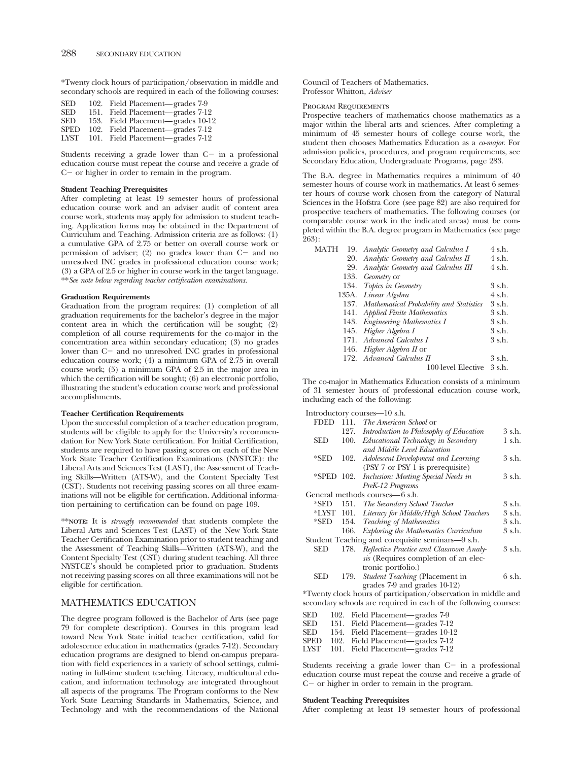\*Twenty clock hours of participation/observation in middle and secondary schools are required in each of the following courses:

| <b>SED</b>  | 102. Field Placement—grades 7-9   |
|-------------|-----------------------------------|
| <b>SED</b>  | 151. Field Placement—grades 7-12  |
| <b>SED</b>  | 153. Field Placement—grades 10-12 |
| <b>SPED</b> | 102. Field Placement—grades 7-12  |
| LYST        | 101. Field Placement—grades 7-12  |

Students receiving a grade lower than  $C$  in a professional education course must repeat the course and receive a grade of  $C$  - or higher in order to remain in the program.

#### **Student Teaching Prerequisites**

After completing at least 19 semester hours of professional education course work and an adviser audit of content area course work, students may apply for admission to student teaching. Application forms may be obtained in the Department of Curriculum and Teaching. Admission criteria are as follows: (1) a cumulative GPA of 2.75 or better on overall course work or permission of adviser;  $(2)$  no grades lower than  $C-$  and no unresolved INC grades in professional education course work; (3) a GPA of 2.5 or higher in course work in the target language. \*\**See note below regarding teacher certification examinations.* 

# **Graduation Requirements**

Graduation from the program requires: (1) completion of all graduation requirements for the bachelor's degree in the major content area in which the certification will be sought; (2) completion of all course requirements for the co-major in the concentration area within secondary education; (3) no grades lower than C- and no unresolved INC grades in professional education course work; (4) a minimum GPA of 2.75 in overall course work; (5) a minimum GPA of 2.5 in the major area in which the certification will be sought; (6) an electronic portfolio, illustrating the student's education course work and professional accomplishments.

#### **Teacher Certification Requirements**

Upon the successful completion of a teacher education program, students will be eligible to apply for the University's recommendation for New York State certification. For Initial Certification, students are required to have passing scores on each of the New York State Teacher Certification Examinations (NYSTCE): the Liberal Arts and Sciences Test (LAST), the Assessment of Teaching Skills—Written (ATS-W), and the Content Specialty Test (CST). Students not receiving passing scores on all three examinations will not be eligible for certification. Additional information pertaining to certification can be found on page 109.

\*\***NOTE:** It is *strongly recommended* that students complete the Liberal Arts and Sciences Test (LAST) of the New York State Teacher Certification Examination prior to student teaching and the Assessment of Teaching Skills—Written (ATS-W), and the Content Specialty Test (CST) during student teaching. All three NYSTCE's should be completed prior to graduation. Students not receiving passing scores on all three examinations will not be eligible for certification.

# MATHEMATICS EDUCATION

The degree program followed is the Bachelor of Arts (see page 79 for complete description). Courses in this program lead toward New York State initial teacher certification, valid for adolescence education in mathematics (grades 7-12). Secondary education programs are designed to blend on-campus preparation with field experiences in a variety of school settings, culminating in full-time student teaching. Literacy, multicultural education, and information technology are integrated throughout all aspects of the programs. The Program conforms to the New York State Learning Standards in Mathematics, Science, and Technology and with the recommendations of the National

Council of Teachers of Mathematics. Professor Whitton, *Adviser* 

Program Requirements

Prospective teachers of mathematics choose mathematics as a major within the liberal arts and sciences. After completing a minimum of 45 semester hours of college course work, the student then chooses Mathematics Education as a *co-major*. For admission policies, procedures, and program requirements, see Secondary Education, Undergraduate Programs, page 283.

The B.A. degree in Mathematics requires a minimum of 40 semester hours of course work in mathematics. At least 6 semester hours of course work chosen from the category of Natural Sciences in the Hofstra Core (see page 82) are also required for prospective teachers of mathematics. The following courses (or comparable course work in the indicated areas) must be completed within the B.A. degree program in Mathematics (see page  $263$ :

|                                    | 4 s.h.                                                                                                                                                                                                                                                                                                                                                                             |
|------------------------------------|------------------------------------------------------------------------------------------------------------------------------------------------------------------------------------------------------------------------------------------------------------------------------------------------------------------------------------------------------------------------------------|
|                                    | 4 s.h.                                                                                                                                                                                                                                                                                                                                                                             |
| Analytic Geometry and Calculus III | 4 s.h.                                                                                                                                                                                                                                                                                                                                                                             |
|                                    |                                                                                                                                                                                                                                                                                                                                                                                    |
|                                    | 3 s.h.                                                                                                                                                                                                                                                                                                                                                                             |
|                                    | 4 s.h.                                                                                                                                                                                                                                                                                                                                                                             |
|                                    | 3 s.h.                                                                                                                                                                                                                                                                                                                                                                             |
|                                    | 3 s.h.                                                                                                                                                                                                                                                                                                                                                                             |
|                                    | $3$ s.h.                                                                                                                                                                                                                                                                                                                                                                           |
|                                    | $3$ s.h.                                                                                                                                                                                                                                                                                                                                                                           |
| Advanced Calculus I                | 3 s.h.                                                                                                                                                                                                                                                                                                                                                                             |
|                                    |                                                                                                                                                                                                                                                                                                                                                                                    |
|                                    | 3 s.h.                                                                                                                                                                                                                                                                                                                                                                             |
| 100-level Elective                 | $3$ s.h.                                                                                                                                                                                                                                                                                                                                                                           |
|                                    | 19. Analytic Geometry and Calculua I<br>20. Analytic Geometry and Calculus II<br>29.<br>133. Geometry or<br>134. Topics in Geometry<br>135A. Linear Algebra<br>137. Mathematical Probability and Statistics<br>141. Applied Finite Mathematics<br>143. Engineering Mathematics I<br>145. Higher Algebra I<br>171.<br>146. <i>Higher Algebra II</i> or<br>172. Advanced Calculus II |

The co-major in Mathematics Education consists of a minimum of 31 semester hours of professional education course work, including each of the following:

Introductory courses—10 s.h.

| <b>FDED</b> | 111. | <i>The American School</i> or                       |        |
|-------------|------|-----------------------------------------------------|--------|
|             |      | 127. Introduction to Philosophy of Education        | 3 s.h. |
| SED         | 100. | Educational Technology in Secondary                 | 1 s.h. |
|             |      | and Middle Level Education                          |        |
| *SED        | 102. | Adolescent Development and Learning                 | 3 s.h. |
|             |      | (PSY 7 or PSY 1 is prerequisite)                    |        |
|             |      | *SPED 102. Inclusion: Meeting Special Needs in      | 3 s.h. |
|             |      | PreK-12 Programs                                    |        |
|             |      | General methods courses—6 s.h.                      |        |
| *SED        |      | 151. The Secondary School Teacher                   | 3 s.h. |
|             |      | *LYST 101. Literacy for Middle/High School Teachers | 3 s.h. |
| *SED        |      | 154. Teaching of Mathematics                        | 3 s.h. |
|             | 166. | Exploring the Mathematics Curriculum                | 3 s.h. |
|             |      | Student Teaching and corequisite seminars-9 s.h.    |        |
| SED         | 178. | Reflective Practice and Classroom Analy-            | 3 s.h. |
|             |      | sis (Requires completion of an elec-                |        |
|             |      | tronic portfolio.)                                  |        |
| SED         |      | 179. Student Teaching (Placement in                 | 6 s.h. |
|             |      | grades 7-9 and grades 10-12)                        |        |
|             |      |                                                     |        |

\*Twenty clock hours of participation/observation in middle and secondary schools are required in each of the following courses:

| <b>SED</b>  | 102. Field Placement—grades 7-9   |
|-------------|-----------------------------------|
| <b>SED</b>  | 151. Field Placement—grades 7-12  |
| <b>SED</b>  | 154. Field Placement—grades 10-12 |
| <b>SPED</b> | 102. Field Placement—grades 7-12  |

LYST 101. Field Placement— grades 7-12

Students receiving a grade lower than  $C$  in a professional education course must repeat the course and receive a grade of  $C$  - or higher in order to remain in the program.

#### **Student Teaching Prerequisites**

After completing at least 19 semester hours of professional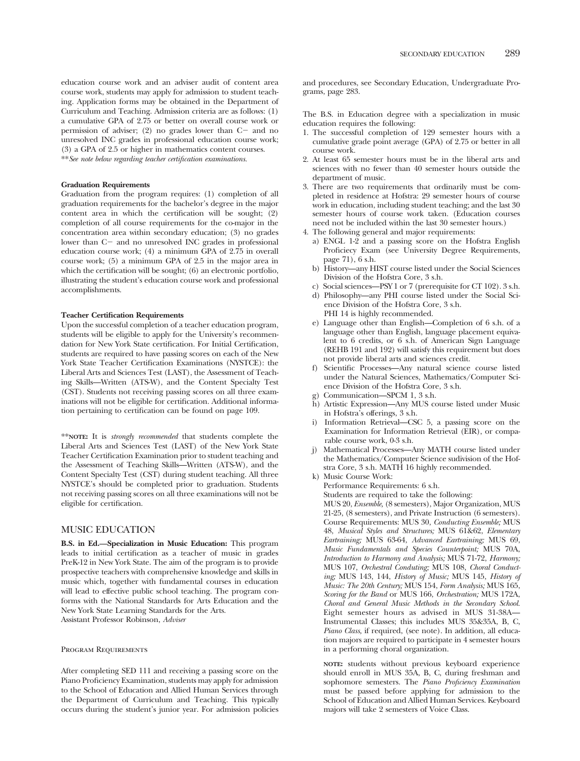education course work and an adviser audit of content area course work, students may apply for admission to student teaching. Application forms may be obtained in the Department of Curriculum and Teaching. Admission criteria are as follows: (1) a cumulative GPA of 2.75 or better on overall course work or permission of adviser; (2) no grades lower than  $C<sub>-</sub>$  and no unresolved INC grades in professional education course work; (3) a GPA of 2.5 or higher in mathematics content courses. \*\**See note below regarding teacher certification examinations.* 

### **Graduation Requirements**

Graduation from the program requires: (1) completion of all graduation requirements for the bachelor's degree in the major content area in which the certification will be sought; (2) completion of all course requirements for the co-major in the concentration area within secondary education; (3) no grades lower than  $C<sub>-</sub>$  and no unresolved INC grades in professional education course work; (4) a minimum GPA of 2.75 in overall course work; (5) a minimum GPA of 2.5 in the major area in which the certification will be sought; (6) an electronic portfolio, illustrating the student's education course work and professional accomplishments.

#### **Teacher Certification Requirements**

Upon the successful completion of a teacher education program, students will be eligible to apply for the University's recommendation for New York State certification. For Initial Certification, students are required to have passing scores on each of the New York State Teacher Certification Examinations (NYSTCE): the Liberal Arts and Sciences Test (LAST), the Assessment of Teaching Skills—Written (ATS-W), and the Content Specialty Test (CST). Students not receiving passing scores on all three examinations will not be eligible for certification. Additional information pertaining to certification can be found on page 109.

\*\***NOTE:** It is *strongly recommended* that students complete the Liberal Arts and Sciences Test (LAST) of the New York State Teacher Certification Examination prior to student teaching and the Assessment of Teaching Skills—Written (ATS-W), and the Content Specialty Test (CST) during student teaching. All three NYSTCE's should be completed prior to graduation. Students not receiving passing scores on all three examinations will not be eligible for certification.

# MUSIC EDUCATION

**B.S. in Ed.—Specialization in Music Education:** This program leads to initial certification as a teacher of music in grades PreK-12 in New York State. The aim of the program is to provide prospective teachers with comprehensive knowledge and skills in music which, together with fundamental courses in education will lead to effective public school teaching. The program conforms with the National Standards for Arts Education and the New York State Learning Standards for the Arts. Assistant Professor Robinson, *Adviser* 

#### Program Requirements

After completing SED 111 and receiving a passing score on the Piano Proficiency Examination, students may apply for admission to the School of Education and Allied Human Services through the Department of Curriculum and Teaching. This typically occurs during the student's junior year. For admission policies

and procedures, see Secondary Education, Undergraduate Programs, page 283.

The B.S. in Education degree with a specialization in music education requires the following:

- 1. The successful completion of 129 semester hours with a cumulative grade point average (GPA) of 2.75 or better in all course work.
- 2. At least 65 semester hours must be in the liberal arts and sciences with no fewer than 40 semester hours outside the department of music.
- 3. There are two requirements that ordinarily must be completed in residence at Hofstra: 29 semester hours of course work in education, including student teaching; and the last 30 semester hours of course work taken. (Education courses need not be included within the last 30 semester hours.)
- 4. The following general and major requirements:
	- a) ENGL 1-2 and a passing score on the Hofstra English Proficiecy Exam (see University Degree Requirements, page 71), 6 s.h.
	- b) History—any HIST course listed under the Social Sciences Division of the Hofstra Core, 3 s.h.
	- c) Social sciences—PSY 1 or 7 (prerequisite for CT 102). 3 s.h.
	- d) Philosophy—any PHI course listed under the Social Science Division of the Hofstra Core, 3 s.h. PHI 14 is highly recommended.
	- e) Language other than English—Completion of 6 s.h. of a language other than English, language placement equivalent to 6 credits, or 6 s.h. of American Sign Language (REHB 191 and 192) will satisfy this requirement but does not provide liberal arts and sciences credit.
	- f) Scientific Processes—Any natural science course listed under the Natural Sciences, Mathematics/Computer Science Division of the Hofstra Core, 3 s.h.
	- g) Communication—SPCM 1, 3 s.h.
	- h) Artistic Expression—Any MUS course listed under Music in Hofstra's offerings, 3 s.h.
	- i) Information Retrieval—CSC 5, a passing score on the Examination for Information Retrieval (EIR), or comparable course work, 0-3 s.h.
	- j) Mathematical Processes—Any MATH course listed under the Mathematics/Computer Science sudivision of the Hofstra Core, 3 s.h. MATH 16 highly recommended.
- k) Music Course Work:

Performance Requirements: 6 s.h.

Students are required to take the following:

MUS 20, *Ensemble,* (8 semesters), Major Organization, MUS 21-25, (8 semesters), and Private Instruction (6 semesters). Course Requirements: MUS 30, *Conducting Ensemble;* MUS 48, *Musical Styles and Structures;* MUS 61&62, *Elementary Eartraining;* MUS 63-64, *Advanced Eartraining;* MUS 69, *Music Fundamentals and Species Counterpoint;* MUS 70A, *Introduction to Harmony and Analysis;* MUS 71-72, *Harmony;*  MUS 107, *Orchestral Conduting;* MUS 108, *Choral Conducting;* MUS 143, 144, *History of Music;* MUS 145, *History of Music: The 20th Century;* MUS 154, *Form Analysis;* MUS 165, *Scoring for the Band* or MUS 166, *Orchestration;* MUS 172A, *Choral and General Music Methods in the Secondary School.*  Eight semester hours as advised in MUS 31-38A— Instrumental Classes; this includes MUS 35&35A, B, C, *Piano Class,* if required, (see note). In addition, all education majors are required to participate in 4 semester hours in a performing choral organization.

**NOTE:** students without previous keyboard experience should enroll in MUS 35A, B, C, during freshman and sophomore semesters. The *Piano Proficiency Examination*  must be passed before applying for admission to the School of Education and Allied Human Services. Keyboard majors will take 2 semesters of Voice Class.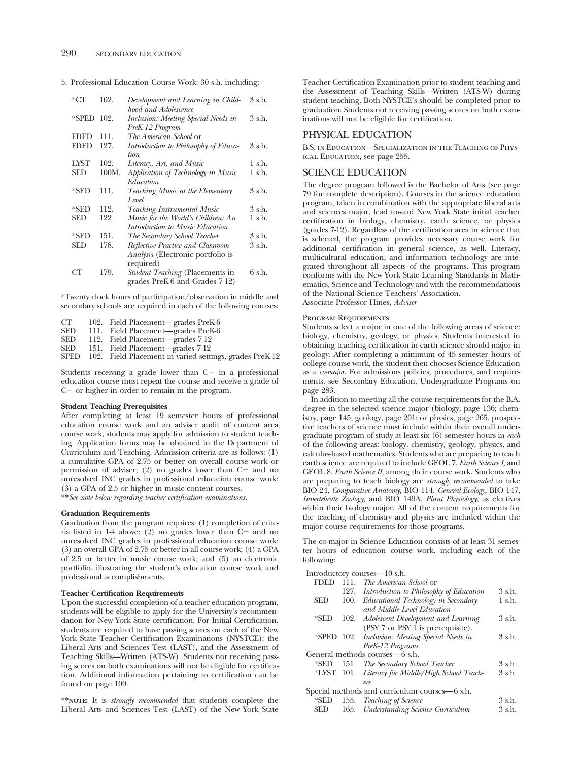#### 5. Professional Education Course Work: 30 s.h. including:

| *CT         | 102.  | Development and Learning in Child-       | 3 s.h.   |
|-------------|-------|------------------------------------------|----------|
|             |       | hood and Adolescence                     |          |
| *SPED-      | 102.  | Inclusion: Meeting Special Needs in      | 3 s.h.   |
|             |       | PreK-12 Program                          |          |
| <b>FDED</b> | 111.  | The American School or                   |          |
| FDED        | 127.  | Introduction to Philosophy of Educa-     | 3 s.h.   |
|             |       | tion.                                    |          |
| <b>LYST</b> | 102.  | Literacy, Art, and Music                 | 1 s.h.   |
| <b>SED</b>  | 100M. | Application of Technology in Music       | 1 s.h.   |
|             |       | Education                                |          |
| *SED        | 111.  | Teaching Music at the Elementary         | 3 s.h.   |
|             |       | Level                                    |          |
| *SED        | 112.  | <b>Teaching Instrumental Music</b>       | 3 s.h.   |
| SED         | 122   | Music for the World's Children: An       | $1$ s.h. |
|             |       | Introduction to Music Education          |          |
| *SED        | 151.  | The Secondary School Teacher             | 3 s.h.   |
| SED         | 178.  | Reflective Practice and Classroom        | $3$ s.h. |
|             |       | <i>Analysis</i> (Electronic portfolio is |          |
|             |       | required)                                |          |
| CТ          | 179.  | <i>Student Teaching</i> (Placements in   | 6 s.h.   |
|             |       | grades PreK-6 and Grades 7-12)           |          |
|             |       |                                          |          |

\*Twenty clock hours of participation/observation in middle and secondary schools are required in each of the following courses:

| CT.         | 102. Field Placement—grades PreK-6                      |
|-------------|---------------------------------------------------------|
| <b>SED</b>  | 111. Field Placement—grades PreK-6                      |
| <b>SED</b>  | 112. Field Placement—grades 7-12                        |
| <b>SED</b>  | 151. Field Placement—grades 7-12                        |
| <b>SPED</b> | 102. Field Placement in varied settings, grades PreK-12 |

Students receiving a grade lower than  $C-$  in a professional education course must repeat the course and receive a grade of  $C$  - or higher in order to remain in the program.

#### **Student Teaching Prerequisites**

After completing at least 19 semester hours of professional education course work and an adviser audit of content area course work, students may apply for admission to student teaching. Application forms may be obtained in the Department of Curriculum and Teaching. Admission criteria are as follows: (1) a cumulative GPA of 2.75 or better on overall course work or permission of adviser;  $(2)$  no grades lower than  $C$  and no unresolved INC grades in professional education course work; (3) a GPA of 2.5 or higher in music content courses. \*\**See note below regarding teacher certification examinations.* 

#### **Graduation Requirements**

Graduation from the program requires: (1) completion of criteria listed in  $1-4$  above; (2) no grades lower than  $C$  and no unresolved INC grades in professional education course work; (3) an overall GPA of 2.75 or better in all course work; (4) a GPA of 2.5 or better in music course work, and (5) an electronic portfolio, illustrating the student's education course work and professional accomplishments.

#### **Teacher Certification Requirements**

Upon the successful completion of a teacher education program, students will be eligible to apply for the University's recommendation for New York State certification. For Initial Certification, students are required to have passing scores on each of the New York State Teacher Certification Examinations (NYSTCE): the Liberal Arts and Sciences Test (LAST), and the Assessment of Teaching Skills—Written (ATS-W). Students not receiving passing scores on both examinations will not be eligible for certification. Additional information pertaining to certification can be found on page 109.

\*\***NOTE:** It is *strongly recommended* that students complete the Liberal Arts and Sciences Test (LAST) of the New York State

Teacher Certification Examination prior to student teaching and the Assessment of Teaching Skills—Written (ATS-W) during student teaching. Both NYSTCE's should be completed prior to graduation. Students not receiving passing scores on both examinations will not be eligible for certification.

# PHYSICAL EDUCATION

B.S. in Education—Specialization in the Teaching of Physical Education, see page 255.

# SCIENCE EDUCATION

The degree program followed is the Bachelor of Arts (see page 79 for complete description). Courses in the science education program, taken in combination with the appropriate liberal arts and sciences major, lead toward New York State initial teacher certification in biology, chemistry, earth science, or physics (grades 7-12). Regardless of the certification area in science that is selected, the program provides necessary course work for additional certification in general science, as well. Literacy, multicultural education, and information technology are integrated throughout all aspects of the programs. This program conforms with the New York State Learning Standards in Mathematics, Science and Technology and with the recommendations of the National Science Teachers' Association. Associate Professor Hines, *Adviser* 

#### Program Requirements

Students select a major in one of the following areas of science: biology, chemistry, geology, or physics. Students interested in obtaining teaching certification in earth science should major in geology. After completing a minimum of 45 semester hours of college course work, the student then chooses Science Education as a *co-major.* For admissions policies, procedures, and requirements, see Secondary Education, Undergraduate Programs on page 283.

In addition to meeting all the course requirements for the B.A. degree in the selected science major (biology, page 136; chemistry, page 145; geology, page 201; or physics, page 265, prospective teachers of science must include within their overall undergraduate program of study at least six (6) semester hours in *each*  of the following areas: biology, chemistry, geology, physics, and calculus-based mathematics. Students who are preparing to teach earth science are required to include GEOL 7. *Earth Science I,* and GEOL 8. *Earth Science II,* among their course work. Students who are preparing to teach biology are *strongly recommended* to take BIO 24, *Comparative Anatomy,* BIO 114. *General Ecology,* BIO 147, *Invertebrate Zoology,* and BIO 149A. *Plant Physiology,* as electives within their biology major. All of the content requirements for the teaching of chemistry and physics are included within the major course requirements for those programs.

The co-major in Science Education consists of at least 31 semester hours of education course work, including each of the following:

Introductory courses—10 s.h.

| <b>FDED</b> | 111. <i>The American School</i> or                |          |
|-------------|---------------------------------------------------|----------|
|             | 127. Introduction to Philosophy of Education      | 3 s.h.   |
| SED         | 100. Educational Technology in Secondary          | 1 s.h.   |
|             | and Middle Level Education                        |          |
| $*$ SED     | 102. Adolescent Development and Learning          | 3 s.h.   |
|             | (PSY 7 or PSY 1 is prerequisite),                 |          |
|             | *SPED 102. Inclusion: Meeting Special Needs in    | 3 s.h.   |
|             | PreK-12 Programs                                  |          |
|             | General methods courses—6 s.h.                    |          |
|             | *SED 151. The Secondary School Teacher            | $3$ s.h. |
|             | *LYST 101. Literacy for Middle/High School Teach- | 3 s.h.   |
|             | ers                                               |          |
|             | Special methods and curriculum courses—6 s.h.     |          |
|             | *SED 155. Teaching of Science                     | 3 s.h.   |
| SED         | 165. Understanding Science Curriculum             | 3 s.h.   |
|             |                                                   |          |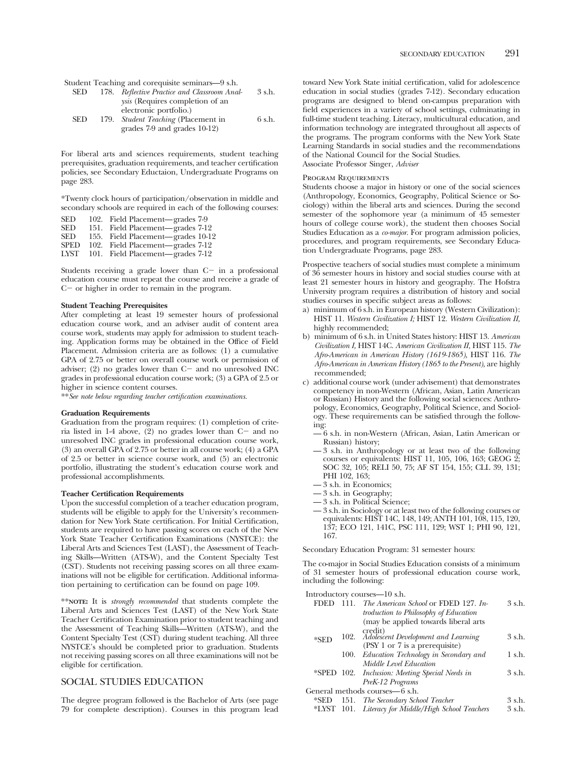| <b>SED</b> |      | 178. Reflective Practice and Classroom Anal- | 3 s.h. |
|------------|------|----------------------------------------------|--------|
|            |      | <i>ysis</i> (Requires completion of an       |        |
|            |      | electronic portfolio.)                       |        |
| <b>SED</b> | 179. | <i>Student Teaching</i> (Placement in        | 6 s.h. |
|            |      | grades 7-9 and grades 10-12)                 |        |

For liberal arts and sciences requirements, student teaching prerequisites, graduation requirements, and teacher certification policies, see Secondary Eductaion, Undergraduate Programs on page 283.

\*Twenty clock hours of participation/observation in middle and secondary schools are required in each of the following courses:

| <b>SED</b>  | 102. Field Placement—grades 7-9   |
|-------------|-----------------------------------|
| <b>SED</b>  | 151. Field Placement—grades 7-12  |
| <b>SED</b>  | 155. Field Placement—grades 10-12 |
| <b>SPED</b> | 102. Field Placement—grades 7-12  |
| LYST        | 101. Field Placement—grades 7-12  |

Students receiving a grade lower than  $C$  in a professional education course must repeat the course and receive a grade of  $C$  - or higher in order to remain in the program.

#### **Student Teaching Prerequisites**

After completing at least 19 semester hours of professional education course work, and an adviser audit of content area course work, students may apply for admission to student teaching. Application forms may be obtained in the Office of Field Placement. Admission criteria are as follows: (1) a cumulative GPA of 2.75 or better on overall course work or permission of adviser; (2) no grades lower than  $C$  and no unresolved INC grades in professional education course work; (3) a GPA of 2.5 or higher in science content courses.

\*\**See note below regarding teacher certification examinations.* 

#### **Graduation Requirements**

Graduation from the program requires: (1) completion of criteria listed in  $1-4$  above, (2) no grades lower than  $C-$  and no unresolved INC grades in professional education course work, (3) an overall GPA of 2.75 or better in all course work; (4) a GPA of 2.5 or better in science course work, and (5) an electronic portfolio, illustrating the student's education course work and professional accomplishments.

### **Teacher Certification Requirements**

Upon the successful completion of a teacher education program, students will be eligible to apply for the University's recommendation for New York State certification. For Initial Certification, students are required to have passing scores on each of the New York State Teacher Certification Examinations (NYSTCE): the Liberal Arts and Sciences Test (LAST), the Assessment of Teaching Skills—Written (ATS-W), and the Content Specialty Test (CST). Students not receiving passing scores on all three examinations will not be eligible for certification. Additional information pertaining to certification can be found on page 109.

\*\***NOTE:** It is *strongly recommended* that students complete the Liberal Arts and Sciences Test (LAST) of the New York State Teacher Certification Examination prior to student teaching and the Assessment of Teaching Skills—Written (ATS-W), and the Content Specialty Test (CST) during student teaching. All three NYSTCE's should be completed prior to graduation. Students not receiving passing scores on all three examinations will not be eligible for certification.

# SOCIAL STUDIES EDUCATION

The degree program followed is the Bachelor of Arts (see page 79 for complete description). Courses in this program lead toward New York State initial certification, valid for adolescence education in social studies (grades 7-12). Secondary education programs are designed to blend on-campus preparation with field experiences in a variety of school settings, culminating in full-time student teaching. Literacy, multicultural education, and information technology are integrated throughout all aspects of the programs. The program conforms with the New York State Learning Standards in social studies and the recommendations of the National Council for the Social Studies. Associate Professor Singer, *Adviser* 

# Program Requirements

Students choose a major in history or one of the social sciences (Anthropology, Economics, Geography, Political Science or Sociology) within the liberal arts and sciences. During the second semester of the sophomore year (a minimum of 45 semester hours of college course work), the student then chooses Social Studies Education as a *co-major*. For program admission policies, procedures, and program requirements, see Secondary Education Undergraduate Programs, page 283.

Prospective teachers of social studies must complete a minimum of 36 semester hours in history and social studies course with at least 21 semester hours in history and geography. The Hofstra University program requires a distribution of history and social studies courses in specific subject areas as follows:

- a) minimum of 6 s.h. in European history (Western Civilization): HIST 11. *Western Civilization I;* HIST 12. *Western Civilization II,*  highly recommended;
- b) minimum of 6 s.h. in United States history: HIST 13. *American Civilization I,* HIST 14C. *American Civilization II,* HIST 115. *The Afro-American in American History (1619-1865),* HIST 116. *The Afro-American in American History (1865 to the Present),* are highly recommended;
- c) additional course work (under advisement) that demonstrates competency in non-Western (African, Asian, Latin American or Russian) History and the following social sciences: Anthropology, Economics, Geography, Political Science, and Sociology. These requirements can be satisfied through the following:
	- 6 s.h. in non-Western (African, Asian, Latin American or Russian) history;
	- 3 s.h. in Anthropology or at least two of the following courses or equivalents: HIST 11, 105, 106, 163; GEOG 2; SOC 32, 105; RELI 50, 75; AF ST 154, 155; CLL 39, 131; PHI 102, 163;
	- 3 s.h. in Economics;
	- 3 s.h. in Geography;
	- 3 s.h. in Political Science;
	- 3 s.h. in Sociology or at least two of the following courses or equivalents: HIST 14C, 148, 149; ANTH 101, 108, 115, 120, 137; ECO 121, 141C, PSC 111, 129; WST 1; PHI 90, 121, 167.

Secondary Education Program: 31 semester hours:

The co-major in Social Studies Education consists of a minimum of 31 semester hours of professional education course work, including the following:

Introductory courses—10 s.h.

| <b>FDED</b>     | 111. | <i>The American School</i> or FDED 127. In-         | 3 s.h.     |
|-----------------|------|-----------------------------------------------------|------------|
|                 |      | troduction to Philosophy of Education               |            |
|                 |      | (may be applied towards liberal arts)               |            |
| *SED            |      | credit)<br>102. Adolescent Development and Learning | 3 s.h.     |
|                 |      | (PSY 1 or 7 is a prerequisite)                      |            |
|                 | 100. | Education Technology in Secondary and               | 1 s.h.     |
|                 |      | Middle Level Education                              |            |
|                 |      | *SPED 102. Inclusion: Meeting Special Needs in      | 3 s.h.     |
|                 |      | PreK-12 Programs                                    |            |
|                 |      | General methods courses—6 s.h.                      |            |
| $*$ SED         |      | 151. The Secondary School Teacher                   | 3 s.h.     |
| <b>ST TIOTH</b> |      | $101$ $\ldots$ $0.101$ $\ldots$                     | $\Omega$ 1 |

\*LYST 101. *Literacy for Middle/High School Teachers* 3 s.h.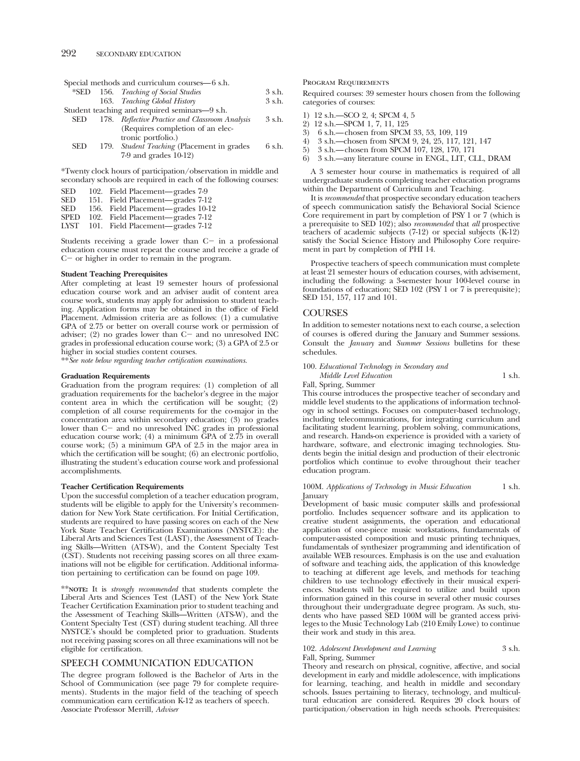| Special methods and curriculum courses—6 s.h. |  |                                                 |          |
|-----------------------------------------------|--|-------------------------------------------------|----------|
|                                               |  | *SED 156. Teaching of Social Studies            | $3$ s.h. |
|                                               |  | 163. Teaching Global History                    | 3 s.h.   |
|                                               |  | Student teaching and required seminars—9 s.h.   |          |
| <b>SED</b>                                    |  | 178. Reflective Practice and Classroom Analysis | $3$ s.h. |
|                                               |  | (Requires completion of an elec-                |          |
|                                               |  | tronic portfolio.)                              |          |
| <b>SED</b>                                    |  | 179. Student Teaching (Placement in grades      | $6$ s.h. |
|                                               |  | $7-9$ and grades $10-12$ )                      |          |
|                                               |  |                                                 |          |

\*Twenty clock hours of participation/observation in middle and secondary schools are required in each of the following courses:

| SED         | 102. Field Placement-grades 7-9   |  |
|-------------|-----------------------------------|--|
| SED         | 151. Field Placement—grades 7-12  |  |
| SED         | 156. Field Placement—grades 10-12 |  |
| <b>SPED</b> | 102. Field Placement—grades 7-12  |  |
| LYST        | 101. Field Placement—grades 7-12  |  |

Students receiving a grade lower than  $C$  in a professional education course must repeat the course and receive a grade of  $C$  - or higher in order to remain in the program.

#### **Student Teaching Prerequisites**

After completing at least 19 semester hours of professional education course work and an adviser audit of content area course work, students may apply for admission to student teaching. Application forms may be obtained in the office of Field Placement. Admission criteria are as follows: (1) a cumulative GPA of 2.75 or better on overall course work or permission of adviser;  $(2)$  no grades lower than  $C<sub>-</sub>$  and no unresolved INC grades in professional education course work; (3) a GPA of 2.5 or higher in social studies content courses.

\*\**See note below regarding teacher certification examinations.* 

# **Graduation Requirements**

Graduation from the program requires: (1) completion of all graduation requirements for the bachelor's degree in the major content area in which the certification will be sought;  $(2)$ completion of all course requirements for the co-major in the concentration area within secondary education; (3) no grades lower than C- and no unresolved INC grades in professional education course work; (4) a minimum GPA of 2.75 in overall course work; (5) a minimum GPA of 2.5 in the major area in which the certification will be sought; (6) an electronic portfolio, illustrating the student's education course work and professional accomplishments.

#### **Teacher Certification Requirements**

Upon the successful completion of a teacher education program, students will be eligible to apply for the University's recommendation for New York State certification. For Initial Certification, students are required to have passing scores on each of the New York State Teacher Certification Examinations (NYSTCE): the Liberal Arts and Sciences Test (LAST), the Assessment of Teaching Skills—Written (ATS-W), and the Content Specialty Test (CST). Students not receiving passing scores on all three examinations will not be eligible for certification. Additional information pertaining to certification can be found on page 109.

\*\***NOTE:** It is *strongly recommended* that students complete the Liberal Arts and Sciences Test (LAST) of the New York State Teacher Certification Examination prior to student teaching and the Assessment of Teaching Skills—Written (ATS-W), and the Content Specialty Test (CST) during student teaching. All three NYSTCE's should be completed prior to graduation. Students not receiving passing scores on all three examinations will not be eligible for certification.

#### SPEECH COMMUNICATION EDUCATION

The degree program followed is the Bachelor of Arts in the School of Communication (see page 79 for complete requirements). Students in the major field of the teaching of speech communication earn certification K-12 as teachers of speech. Associate Professor Merrill, *Adviser* 

Program Requirements

Required courses: 39 semester hours chosen from the following categories of courses:

- 1) 12 s.h.—SCO 2, 4; SPCM 4, 5
- 2) 12 s.h.—SPCM 1, 7, 11, 125<br>3) 6 s.h.—chosen from SPCM
- 3) 6 s.h.— chosen from SPCM 33, 53, 109, 119
- 4) 3 s.h.—chosen from SPCM 9, 24, 25, 117, 121, 147
- 5) 3 s.h.— chosen from SPCM 107, 128, 170, 171
- 6) 3 s.h.—any literature course in ENGL, LIT, CLL, DRAM

A 3 semester hour course in mathematics is required of all undergraduate students completing teacher education programs within the Department of Curriculum and Teaching.

It is *recommended* that prospective secondary education teachers of speech communication satisfy the Behavioral Social Science Core requirement in part by completion of PSY 1 or 7 (which is a prerequisite to SED 102); also *recommended* that *all* prospective teachers of academic subjects (7-12) or special subjects (K-12) satisfy the Social Science History and Philosophy Core requirement in part by completion of PHI 14.

Prospective teachers of speech communication must complete at least 21 semester hours of education courses, with advisement, including the following: a 3-semester hour 100-level course in foundations of education; SED 102 (PSY 1 or 7 is prerequisite); SED 151, 157, 117 and 101.

# **COURSES**

In addition to semester notations next to each course, a selection of courses is offered during the January and Summer sessions. Consult the *January* and *Summer Sessions* bulletins for these schedules.

| 100. Educational Technology in Secondary and |        |
|----------------------------------------------|--------|
| Middle Level Education                       | 1 s.h. |
| Fall, Spring, Summer                         |        |

This course introduces the prospective teacher of secondary and middle level students to the applications of information technology in school settings. Focuses on computer-based technology, including telecommunications, for integrating curriculum and facilitating student learning, problem solving, communications, and research. Hands-on experience is provided with a variety of hardware, software, and electronic imaging technologies. Students begin the initial design and production of their electronic portfolios which continue to evolve throughout their teacher education program.

#### 100M. *Applications of Technology in Music Education* 1 s.h. January

Development of basic music computer skills and professional portfolio. Includes sequencer software and its application to creative student assignments, the operation and educational application of one-piece music workstations, fundamentals of computer-assisted composition and music printing techniques, fundamentals of synthesizer programming and identification of available WEB resources. Emphasis is on the use and evaluation of software and teaching aids, the application of this knowledge to teaching at different age levels, and methods for teaching children to use technology effectively in their musical experiences. Students will be required to utilize and build upon information gained in this course in several other music courses throughout their undergraduate degree program. As such, students who have passed SED 100M will be granted access privileges to the Music Technology Lab (210 Emily Lowe) to continue their work and study in this area.

#### 102. *Adolescent Development and Learning* 3 s.h. Fall, Spring, Summer

Theory and research on physical, cognitive, affective, and social development in early and middle adolescence, with implications for learning, teaching, and health in middle and secondary schools. Issues pertaining to literacy, technology, and multicultural education are considered. Requires 20 clock hours of participation/observation in high needs schools. Prerequisites: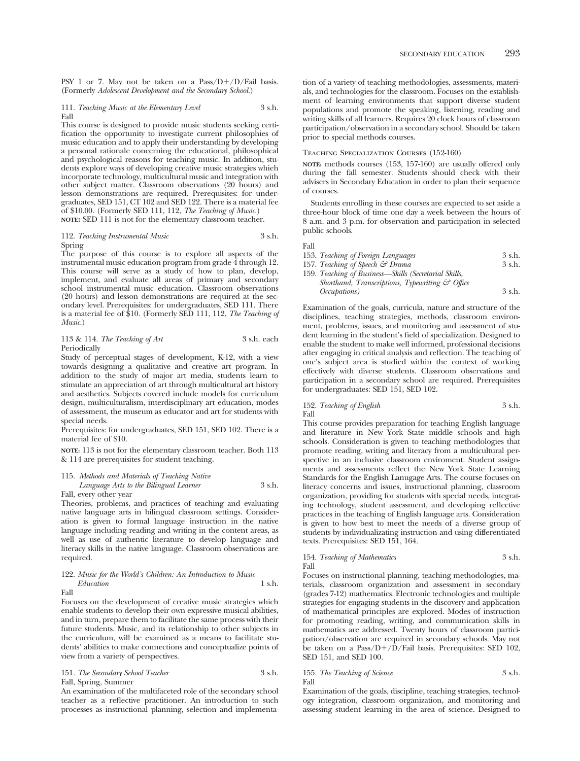PSY 1 or 7. May not be taken on a  $Pass/D+/D/fail$  basis. (Formerly *Adolescent Development and the Secondary School.*)

#### 111. *Teaching Music at the Elementary Level* 3 s.h. Fall

This course is designed to provide music students seeking certification the opportunity to investigate current philosophies of music education and to apply their understanding by developing a personal rationale concerning the educational, philosophical and psychological reasons for teaching music. In addition, students explore ways of developing creative music strategies whieh incorporate technology, multicultural music and integration with other subject matter. Classroom observations (20 hours) and lesson demonstrations are required. Prerequisites: for undergraduates, SED 151, CT 102 and SED 122. There is a material fee of \$10.00. (Formerly SED 111, 112, *The Teaching of Music.*) **NOTE:** SED 111 is not for the elementary classroom teacher.

#### 112. *Teaching Instrumental Music* 3 s.h. Spring

The purpose of this course is to explore all aspects of the instrumental music education program from grade 4 through 12. This course will serve as a study of how to plan, develop, implement, and evaluate all areas of primary and secondary school instrumental music education. Classroom observations (20 hours) and lesson demonstrations are required at the secondary level. Prerequisites: for undergraduates, SED 111. There is a material fee of \$10. (Formerly SED 111, 112, *The Teaching of Music.*)

#### 113 & 114. *The Teaching of Art* 3 s.h. each Periodically

Study of perceptual stages of development, K-12, with a view towards designing a qualitative and creative art program. In addition to the study of major art media, students learn to stimulate an appreciation of art through multicultural art history and aesthetics. Subjects covered include models for curriculum design, multiculturalism, interdisciplinary art education, modes of assessment, the museum as educator and art for students with special needs.

Prerequisites: for undergraduates, SED 151, SED 102. There is a material fee of \$10.

**NOTE:** 113 is not for the elementary classroom teacher. Both 113 & 114 are prerequisites for student teaching.

#### 115. *Methods and Materials of Teaching Native*

*Language Arts to the Bilingual Learner* 3 s.h. Fall, every other year

Theories, problems, and practices of teaching and evaluating native language arts in bilingual classroom settings. Consideration is given to formal language instruction in the native language including reading and writing in the content areas, as well as use of authentic literature to develop language and literacy skills in the native language. Classroom observations are required.

#### 122. *Music for the World's Children: An Introduction to Music Education* 1 s.h. Fall

Focuses on the development of creative music strategies which enable students to develop their own expressive musical abilities, and in turn, prepare them to facilitate the same process with their future students. Music, and its relationship to other subjects in the curriculum, will be examined as a means to facilitate students' abilities to make connections and conceptualize points of view from a variety of perspectives.

#### 151. *The Secondary School Teacher* 3 s.h. Fall, Spring, Summer

An examination of the multifaceted role of the secondary school teacher as a reflective practitioner. An introduction to such processes as instructional planning, selection and implementation of a variety of teaching methodologies, assessments, materials, and technologies for the classroom. Focuses on the establishment of learning environments that support diverse student populations and promote the speaking, listening, reading and writing skills of all learners. Requires 20 clock hours of classroom participation/observation in a secondary school. Should be taken prior to special methods courses.

#### Teaching Specialization Courses (152-160)

**NOTE:** methods courses (153, 157-160) are usually offered only during the fall semester. Students should check with their advisers in Secondary Education in order to plan their sequence of courses.

Students enrolling in these courses are expected to set aside a three-hour block of time one day a week between the hours of 8 a.m. and 3 p.m. for observation and participation in selected public schools.

Fall

| 153. Teaching of Foreign Languages                          | 3 s.h. |
|-------------------------------------------------------------|--------|
| 157. Teaching of Speech & Drama                             | 3 s.h. |
| 159. Teaching of Business—Skills (Secretarial Skills,       |        |
| Shorthand, Transcriptions, Typewriting $\mathcal{C}$ Office |        |
| <i>Occupations</i> )                                        | 3 s.h. |

Examination of the goals, curricula, nature and structure of the disciplines, teaching strategies, methods, classroom environment, problems, issues, and monitoring and assessment of student learning in the student's field of specialization. Designed to enable the student to make well informed, professional decisions after engaging in critical analysis and reflection. The teaching of one's subject area is studied within the context of working effectively with diverse students. Classroom observations and participation in a secondary school are required. Prerequisites for undergraduates: SED 151, SED 102.

#### 152. *Teaching of English* 3 s.h. Fall

This course provides preparation for teaching English language and literature in New York State middle schools and high schools. Consideration is given to teaching methodologies that promote reading, writing and literacy from a multicultural perspective in an inclusive classroom enviroment. Student assignments and assessments reflect the New York State Learning Standards for the English Lanugage Arts. The course focuses on literacy concerns and issues, instructional planning, classroom organization, providing for students with special needs, integrating technology, student assessment, and developing reflective practices in the teaching of English language arts. Consideration is given to how best to meet the needs of a diverse group of students by individualizating instruction and using differentiated texts. Prerequisites: SED 151, 164.

#### 154. *Teaching of Mathematics* 3 s.h. Fall

Focuses on instructional planning, teaching methodologies, materials, classroom organization and assessment in secondary (grades 7-12) mathematics. Electronic technologies and multiple strategies for engaging students in the discovery and application of mathematical principles are explored. Modes of instruction for promoting reading, writing, and communication skills in mathematics are addressed. Twenty hours of classroom participation/observation are required in secondary schools. May not be taken on a Pass/D+/D/Fail basis. Prerequisites: SED 102, SED 151, and SED 100.

#### 155. *The Teaching of Science* 3 s.h. Fall

Examination of the goals, discipline, teaching strategies, technology integration, classroom organization, and monitoring and assessing student learning in the area of science. Designed to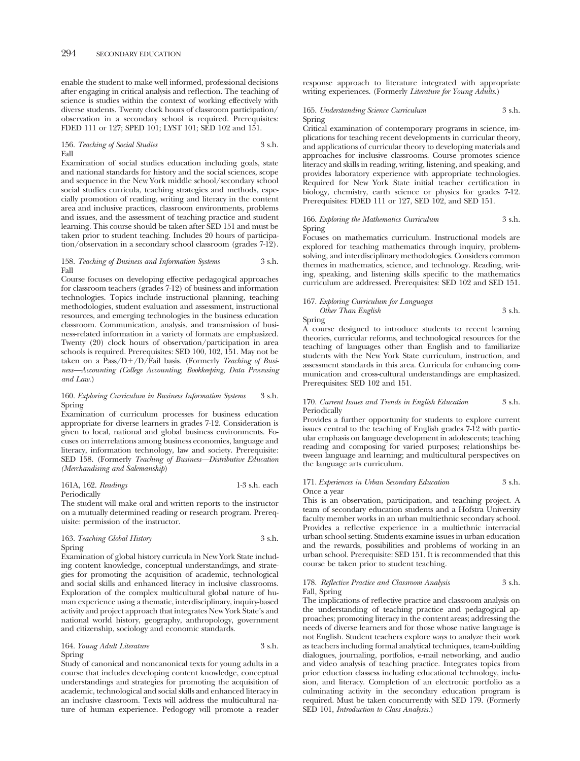enable the student to make well informed, professional decisions after engaging in critical analysis and reflection. The teaching of science is studies within the context of working effectively with diverse students. Twenty clock hours of classroom participation/ observation in a secondary school is required. Prerequisites: FDED 111 or 127; SPED 101; LYST 101; SED 102 and 151.

#### 156. *Teaching of Social Studies* 3 s.h. Fall

Examination of social studies education including goals, state and national standards for history and the social sciences, scope and sequence in the New York middle school/secondary school social studies curricula, teaching strategies and methods, especially promotion of reading, writing and literacy in the content area and inclusive practices, classroom environments, problems and issues, and the assessment of teaching practice and student learning. This course should be taken after SED 151 and must be taken prior to student teaching. Includes 20 hours of participation/observation in a secondary school classroom (grades 7-12).

#### 158. *Teaching of Business and Information Systems* 3 s.h. Fall

Course focuses on developing effective pedagogical approaches for classroom teachers (grades 7-12) of business and information technologies. Topics include instructional planning, teaching methodologies, student evaluation and assessment, instructional resources, and emerging technologies in the business education classroom. Communication, analysis, and transmission of business-related information in a variety of formats are emphasized. Twenty (20) clock hours of observation/participation in area schools is required. Prerequisites: SED 100, 102, 151. May not be taken on a Pass/D+/D/Fail basis. (Formerly *Teaching of Business—Accounting (College Accounting, Bookkeeping, Data Processing and Law*.)

#### 160. *Exploring Curriculum in Business Information Systems* 3 s.h. Spring

Examination of curriculum processes for business education appropriate for diverse learners in grades 7-12. Consideration is given to local, national and global business environments. Focuses on interrelations among business economies, language and literacy, information technology, law and society. Prerequisite: SED 158. (Formerly *Teaching of Business—Distributive Education (Merchandising and Salemanship*)

#### 161A, 162. *Readings* 1-3 s.h. each Periodically

The student will make oral and written reports to the instructor on a mutually determined reading or research program. Prerequisite: permission of the instructor.

| 163. Teaching Global History | 3 s.h. |
|------------------------------|--------|
| Spring                       |        |

Examination of global history curricula in New York State including content knowledge, conceptual understandings, and strategies for promoting the acquisition of academic, technological and social skills and enhanced literacy in inclusive classrooms. Exploration of the complex multicultural global nature of human experience using a thematic, interdisciplinary, inquiry-based activity and project approach that integrates New York State's and national world history, geography, anthropology, government and citizenship, sociology and economic standards.

164. *Young Adult Literature* 3 s.h. Spring

Study of canonical and noncanonical texts for young adults in a course that includes developing content knowledge, conceptual understandings and strategies for promoting the acquisition of academic, technological and social skills and enhanced literacy in an inclusive classroom. Texts will address the multicultural nature of human experience. Pedogogy will promote a reader

response approach to literature integrated with appropriate writing experiences. (Formerly *Literature for Young Adults.*)

# 165. *Understanding Science Curriculum* 3 s.h. Spring

Critical examination of contemporary programs in science, implications for teaching recent developments in curricular theory, and applications of curricular theory to developing materials and approaches for inclusive classrooms. Course promotes science literacy and skills in reading, writing, listening, and speaking, and provides laboratory experience with appropriate technologies. Required for New York State initial teacher certification in biology, chemistry, earth science or physics for grades 7-12. Prerequisites: FDED 111 or 127, SED 102, and SED 151.

# 166. *Exploring the Mathematics Curriculum* 3 s.h. Spring

Focuses on mathematics curriculum. Instructional models are explored for teaching mathematics through inquiry, problemsolving, and interdisciplinary methodologies. Considers common themes in mathematics, science, and technology. Reading, writing, speaking, and listening skills specific to the mathematics curriculum are addressed. Prerequisites: SED 102 and SED 151.

# 167. *Exploring Curriculum for Languages Other Than English* 3 s.h.

Spring

A course designed to introduce students to recent learning theories, curricular reforms, and technological resources for the teaching of languages other than English and to familiarize students with the New York State curriculum, instruction, and assessment standards in this area. Curricula for enhancing communication and cross-cultural understandings are emphasized. Prerequisites: SED 102 and 151.

#### 170. *Current Issues and Trends in English Education* 3 s.h. Periodically

Provides a further opportunity for students to explore current issues central to the teaching of English grades 7-12 with particular emphasis on language development in adolescents; teaching reading and composing for varied purposes; relationships between language and learning; and multicultural perspectives on the language arts curriculum.

#### 171. *Experiences in Urban Secondary Education* 3 s.h. Once a year

This is an observation, participation, and teaching project. A team of secondary education students and a Hofstra University faculty member works in an urban multiethnic secondary school. Provides a reflective experience in a multiethnic interracial urban school setting. Students examine issues in urban education and the rewards, possibilities and problems of working in an urban school. Prerequisite: SED 151. It is recommended that this course be taken prior to student teaching.

#### 178. *Reflective Practice and Classroom Analysis* 3 s.h. Fall, Spring

The implications of reflective practice and classroom analysis on the understanding of teaching practice and pedagogical approaches; promoting literacy in the content areas; addressing the needs of diverse learners and for those whose native language is not English. Student teachers explore ways to analyze their work as teachers including formal analytical techniques, team-building dialogues, journaling, portfolios, e-mail networking, and audio and video analysis of teaching practice. Integrates topics from prior eduction classess including educational technology, inclusion, and literacy. Completion of an electronic portfolio as a culminating activity in the secondary education program is required. Must be taken concurrently with SED 179. (Formerly SED 101, *Introduction to Class Analysis.*)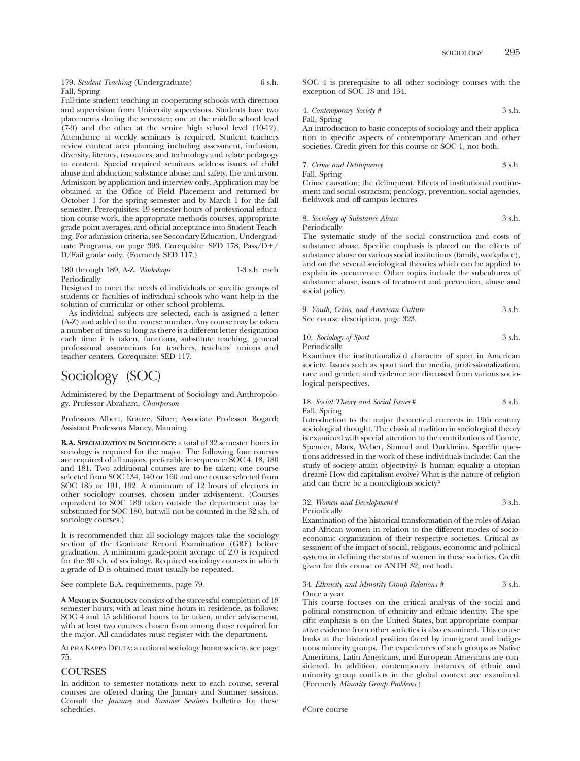179. *Student Teaching* (Undergraduate) 6 s.h. Fall, Spring

Full-time student teaching in cooperating schools with direction and supervision from University supervisors. Students have two placements during the semester: one at the middle school level (7-9) and the other at the senior high school level (10-12). Attendance at weekly seminars is required. Student teachers review content area planning including assessment, inclusion, diversity, literacy, resources, and technology and relate pedagogy to content. Special required seminars address issues of child abuse and abduction; substance abuse; and safety, fire and arson. Admission by application and interview only. Application may be obtained at the Office of Field Placement and returned by October 1 for the spring semester and by March 1 for the fall semester. Prerequisites: 19 semester hours of professional education course work, the appropriate methods courses, appropriate grade point averages, and official acceptance into Student Teaching. For admission criteria, see Secondary Education, Undergraduate Programs, on page 393. Corequisite: SED 178, Pass/D-/ D/Fail grade only. (Formerly SED 117.)

180 through 189, A-Z. *Workshops* 1-3 s.h. each Periodically

Designed to meet the needs of individuals or specific groups of students or faculties of individual schools who want help in the solution of curricular or other school problems.

As individual subjects are selected, each is assigned a letter (A-Z) and added to the course number. Any course may be taken a number of times so long as there is a different letter designation each time it is taken. functions, substitute teaching, general professional associations for teachers, teachers' unions and teacher centers. Corequisite: SED 117.

# Sociology (SOC)

Administered by the Department of Sociology and Anthropology. Professor Abraham, *Chairperson* 

Professors Albert, Krauze, Silver; Associate Professor Bogard; Assistant Professors Maney, Manning.

**B.A. SPECIALIZATION IN SOCIOLOGY:** a total of 32 semester hours in sociology is required for the major. The following four courses are required of all majors, preferably in sequence: SOC 4, 18, 180 and 181. Two additional courses are to be taken; one course selected from SOC 134, 140 or 160 and one course selected from SOC 185 or 191, 192. A minimum of 12 hours of electives in other sociology courses, chosen under advisement. (Courses equivalent to SOC 180 taken outside the department may be substituted for SOC 180, but will not be counted in the 32 s.h. of sociology courses.)

It is recommended that all sociology majors take the sociology section of the Graduate Record Examination (GRE) before graduation. A minimum grade-point average of 2.0 is required for the 30 s.h. of sociology. Required sociology courses in which a grade of D is obtained must usually be repeated.

See complete B.A. requirements, page 79.

**A MINOR IN SOCIOLOGY** consists of the successful completion of 18 semester hours, with at least nine hours in residence, as follows: SOC 4 and 15 additional hours to be taken, under advisement, with at least two courses chosen from among those required for the major. All candidates must register with the department.

Alpha Kappa Delta: a national sociology honor society, see page 75.

# **COURSES**

In addition to semester notations next to each course, several courses are offered during the January and Summer sessions. Consult the *January* and *Summer Sessions* bulletins for these schedules.

SOC 4 is prerequisite to all other sociology courses with the exception of SOC 18 and 134.

4. *Contemporary Society #* 3 s.h. Fall, Spring

An introduction to basic concepts of sociology and their application to specific aspects of contemporary American and other societies. Credit given for this course or SOC 1, not both.

7. *Crime and Delinquency* 3 s.h. Fall, Spring

Crime causation; the delinquent. Effects of institutional confinement and social ostracism; penology, prevention, social agencies, fieldwork and off-campus lectures.

8. *Sociology of Substance Abuse* 3 s.h.

Periodically

The systematic study of the social construction and costs of substance abuse. Specific emphasis is placed on the effects of substance abuse on various social institutions (family, workplace), and on the several sociological theories which can be applied to explain its occurrence. Other topics include the subcultures of substance abuse, issues of treatment and prevention, abuse and social policy.

9. *Youth, Crisis, and American Culture*  See course description, page 323. 3 s.h.

10. *Sociology of Sport*  Periodically 3 s.h.

Examines the institutionalized character of sport in American society. Issues such as sport and the media, professionalization, race and gender, and violence are discussed from various sociological perspectives.

#### 18. *Social Theory and Social Issues* # 3 s.h. Fall, Spring

Introduction to the major theoretical currents in 19th century sociological thought. The classical tradition in sociological theory is examined with special attention to the contributions of Comte, Spencer, Marx, Weber, Simmel and Durkheim. Specific questions addressed in the work of these individuals include: Can the study of society attain objectivity? Is human equality a utopian dream? How did capitalism evolve? What is the nature of religion and can there be a nonreligious society?

#### 32. *Women and Development* # 3 s.h. Periodically

Examination of the historical transformation of the roles of Asian and African women in relation to the different modes of socioeconomic organization of their respective societies. Critical assessment of the impact of social, religious, economic and political systems in defining the status of women in these societies. Credit given for this course or ANTH 32, not both.

#### 34. *Ethnicity and Minority Group Relations #* 3 s.h. Once a year

This course focuses on the critical analysis of the social and political construction of ethnicity and ethnic identity. The specific emphasis is on the United States, but appropriate comparative evidence from other societies is also examined. This course looks at the historical position faced by immigrant and indigenous minority groups. The experiences of such groups as Native Americans, Latin Americans, and European Americans are considered. In addition, contemporary instances of ethnic and minority group conflicts in the global context are examined. (Formerly *Minority Group Problems*.)

#Core course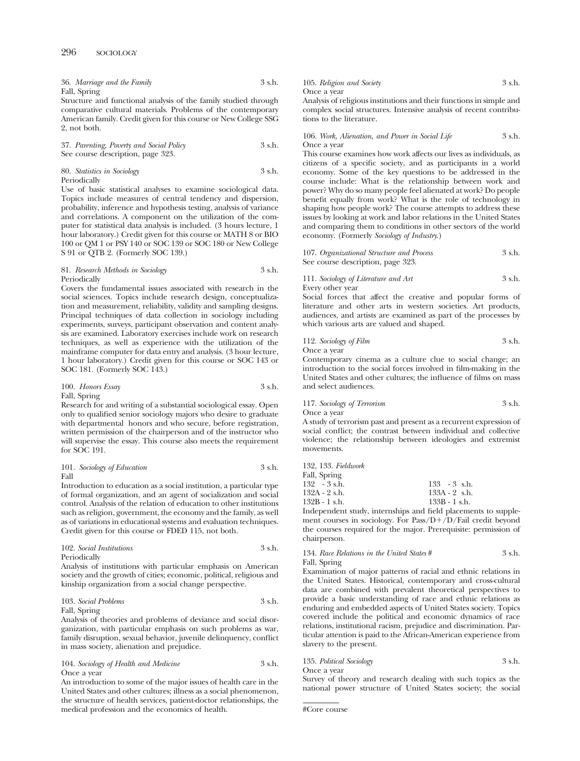| 36. Marriage and the Family | 3 s.h. |
|-----------------------------|--------|
| Fall, Spring                |        |

Structure and functional analysis of the family studied through comparative cultural materials. Problems of the contemporary American family. Credit given for this course or New College SSG 2, not both.

37. *Parenting, Poverty and Social Policy*  See course description, page 323. 3 s.h.

80. *Statistics in Sociology*  Periodically 3 s.h.

Use of basic statistical analyses to examine sociological data. Topics include measures of central tendency and dispersion, probability, inference and hypothesis testing, analysis of variance and correlations. A component on the utilization of the computer for statistical data analysis is included. (3 hours lecture, 1 hour laboratory.) Credit given for this course or MATH 8 or BIO 100 or QM 1 or PSY 140 or SOC 139 or SOC 180 or New College S 91 or QTB 2. (Formerly SOC 139.)

#### 81. *Research Methods in Sociology* 3 s.h. Periodically

Covers the fundamental issues associated with research in the social sciences. Topics include research design, conceptualization and measurement, reliability, validity and sampling designs. Principal techniques of data collection in sociology including experiments, surveys, participant observation and content analysis are examined. Laboratory exercises include work on research techniques, as well as experience with the utilization of the mainframe computer for data entry and analysis. (3 hour lecture, 1 hour laboratory.) Credit given for this course or SOC 143 or SOC 181. (Formerly SOC 143.)

#### 100. *Honors Essay* 3 s.h. Fall, Spring

Research for and writing of a substantial sociological essay. Open only to qualified senior sociology majors who desire to graduate with departmental honors and who secure, before registration, written permission of the chairperson and of the instructor who will supervise the essay. This course also meets the requirement for SOC 191.

#### 101. *Sociology of Education* 3 s.h. Fall

Introduction to education as a social institution, a particular type of formal organization, and an agent of socialization and social control. Analysis of the relation of education to other institutions such as religion, government, the economy and the family, as well as of variations in educational systems and evaluation techniques. Credit given for this course or FDED 115, not both.

| 102. Social Institutions | 3 s.h. |
|--------------------------|--------|
| Periodically             |        |

Analysis of institutions with particular emphasis on American society and the growth of cities; economic, political, religious and kinship organization from a social change perspective.

# 103. *Social Problems* 3 s.h.

Fall, Spring

Analysis of theories and problems of deviance and social disorganization, with particular emphasis on such problems as war, family disruption, sexual behavior, juvenile delinquency, conflict in mass society, alienation and prejudice.

#### 104. *Sociology of Health and Medicine* 3 s.h. Once a year

An introduction to some of the major issues of health care in the United States and other cultures; illness as a social phenomenon, the structure of health services, patient-doctor relationships, the medical profession and the economics of health.

105. *Religion and Society* 3 s.h. Once a year

Analysis of religious institutions and their functions in simple and complex social structures. Intensive analysis of recent contributions to the literature.

#### 106. *Work, Alienation, and Power in Social Life* 3 s.h. Once a year

This course examines how work affects our lives as individuals, as citizens of a specific society, and as participants in a world economy. Some of the key questions to be addressed in the course include: What is the relationship between work and power? Why do so many people feel alienated at work? Do people benefit equally from work? What is the role of technology in shaping how people work? The course attempts to address these issues by looking at work and labor relations in the United States and comparing them to conditions in other sectors of the world economy. (Formerly *Sociology of Industry*.)

107. *Organizational Structure and Process* 3 s.h. See course description, page 323.

# 111. *Sociology of Literature and Art* 3 s.h.

Every other year

Social forces that affect the creative and popular forms of literature and other arts in western societies. Art products, audiences, and artists are examined as part of the processes by which various arts are valued and shaped.

112. *Sociology of Film* 3 s.h.

Once a year

Contemporary cinema as a culture clue to social change; an introduction to the social forces involved in film-making in the United States and other cultures; the influence of films on mass and select audiences.

#### 117. *Sociology of Terrorism* 3 s.h. Once a year

A study of terrorism past and present as a recurrent expression of social conflict; the contrast between individual and collective violence; the relationship between ideologies and extremist movements.

132, 133. *Fieldwork*  Fall, Spring  $133\phantom{1}-3\phantom{1}$  s.h. 132A - 2 s.h. 133A - 2 s.h. 132B - 1 s.h. 133B - 1 s.h.

Independent study, internships and field placements to supplement courses in sociology. For Pass/D+/D/Fail credit beyond the courses required for the major. Prerequisite: permission of chairperson.

134. *Race Relations in the United States* # 3 s.h. Fall, Spring

Examination of major patterns of racial and ethnic relations in the United States. Historical, contemporary and cross-cultural data are combined with prevalent theoretical perspectives to provide a basic understanding of race and ethnic relations as enduring and embedded aspects of United States society. Topics covered include the political and economic dynamics of race relations, institutional racism, prejudice and discrimination. Particular attention is paid to the African-American experience from slavery to the present.

135. *Political Sociology* 3 s.h. Once a year

Survey of theory and research dealing with such topics as the national power structure of United States society; the social

```
#Core course
```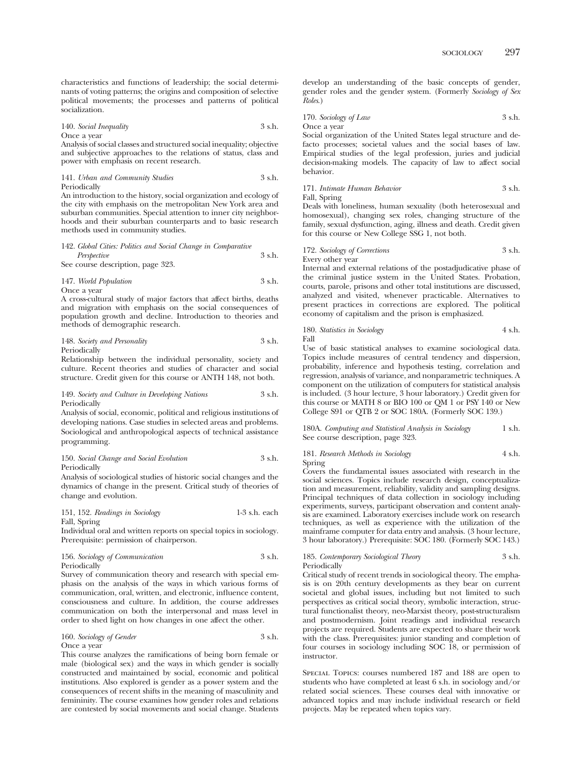characteristics and functions of leadership; the social determinants of voting patterns; the origins and composition of selective political movements; the processes and patterns of political socialization.

140. *Social Inequality* 3 s.h.

Once a year

Analysis of social classes and structured social inequality; objective and subjective approaches to the relations of status, class and power with emphasis on recent research.

141. *Urban and Community Studies* 3 s.h. Periodically

An introduction to the history, social organization and ecology of the city with emphasis on the metropolitan New York area and suburban communities. Special attention to inner city neighborhoods and their suburban counterparts and to basic research methods used in community studies.

# 142. *Global Cities: Politics and Social Change in Comparative Perspective* 3 s.h.

See course description, page 323.

# 147. *World Population* 3 s.h.

Once a year

A cross-cultural study of major factors that affect births, deaths and migration with emphasis on the social consequences of population growth and decline. Introduction to theories and methods of demographic research.

148. *Society and Personality* 3 s.h.

Periodically

Relationship between the individual personality, society and culture. Recent theories and studies of character and social structure. Credit given for this course or ANTH 148, not both.

#### 149. *Society and Culture in Developing Nations* 3 s.h. Periodically

Analysis of social, economic, political and religious institutions of developing nations. Case studies in selected areas and problems. Sociological and anthropological aspects of technical assistance programming.

150. *Social Change and Social Evolution* 3 s.h. Periodically

Analysis of sociological studies of historic social changes and the dynamics of change in the present. Critical study of theories of change and evolution.

| 151, 152. Readings in Sociology | 1-3 s.h. each |
|---------------------------------|---------------|
| Fall, Spring                    |               |

Individual oral and written reports on special topics in sociology. Prerequisite: permission of chairperson.

| 156. Sociology of Communication | 3 s.h. |
|---------------------------------|--------|
| Periodically                    |        |

Survey of communication theory and research with special emphasis on the analysis of the ways in which various forms of communication, oral, written, and electronic, influence content, consciousness and culture. In addition, the course addresses communication on both the interpersonal and mass level in order to shed light on how changes in one affect the other.

#### 160. *Sociology of Gender* 3 s.h. Once a year

This course analyzes the ramifications of being born female or male (biological sex) and the ways in which gender is socially constructed and maintained by social, economic and political institutions. Also explored is gender as a power system and the consequences of recent shifts in the meaning of masculinity and femininity. The course examines how gender roles and relations are contested by social movements and social change. Students develop an understanding of the basic concepts of gender, gender roles and the gender system. (Formerly *Sociology of Sex Roles*.)

170. *Sociology of Law* 3 s.h. Once a year

Social organization of the United States legal structure and defacto processes; societal values and the social bases of law. Empirical studies of the legal profession, juries and judicial decision-making models. The capacity of law to affect social behavior.

# 171. *Intimate Human Behavior* 3 s.h.

Fall, Spring

Deals with loneliness, human sexuality (both heterosexual and homosexual), changing sex roles, changing structure of the family, sexual dysfunction, aging, illness and death. Credit given for this course or New College SSG 1, not both.

# 172. *Sociology of Corrections* 3 s.h.

Every other year

Internal and external relations of the postadjudicative phase of the criminal justice system in the United States. Probation, courts, parole, prisons and other total institutions are discussed, analyzed and visited, whenever practicable. Alternatives to present practices in corrections are explored. The political economy of capitalism and the prison is emphasized.

180. *Statistics in Sociology* 4 s.h. Fall

Use of basic statistical analyses to examine sociological data. Topics include measures of central tendency and dispersion, probability, inference and hypothesis testing, correlation and regression, analysis of variance, and nonparametric techniques. A component on the utilization of computers for statistical analysis is included. (3 hour lecture, 3 hour laboratory.) Credit given for this course or MATH 8 or BIO 100 or QM 1 or PSY 140 or New College S91 or QTB 2 or SOC 180A. (Formerly SOC 139.)

180A. *Computing and Statistical Analysis in Sociology*  See course description, page 323. 1 s.h.

181. *Research Methods in Sociology*  Spring 4 s.h.

Covers the fundamental issues associated with research in the social sciences. Topics include research design, conceptualization and measurement, reliability, validity and sampling designs. Principal techniques of data collection in sociology including experiments, surveys, participant observation and content analysis are examined. Laboratory exercises include work on research techniques, as well as experience with the utilization of the mainframe computer for data entry and analysis. (3 hour lecture, 3 hour laboratory.) Prerequisite: SOC 180. (Formerly SOC 143.)

185. *Contemporary Sociological Theory* 3 s.h. Periodically

Critical study of recent trends in sociological theory. The emphasis is on 20th century developments as they bear on current societal and global issues, including but not limited to such perspectives as critical social theory, symbolic interaction, structural functionalist theory, neo-Marxist theory, post-structuralism and postmodernism. Joint readings and individual research projects are required. Students are expected to share their work with the class. Prerequisites: junior standing and completion of four courses in sociology including SOC 18, or permission of instructor.

Special Topics: courses numbered 187 and 188 are open to students who have completed at least 6 s.h. in sociology and/or related social sciences. These courses deal with innovative or advanced topics and may include individual research or field projects. May be repeated when topics vary.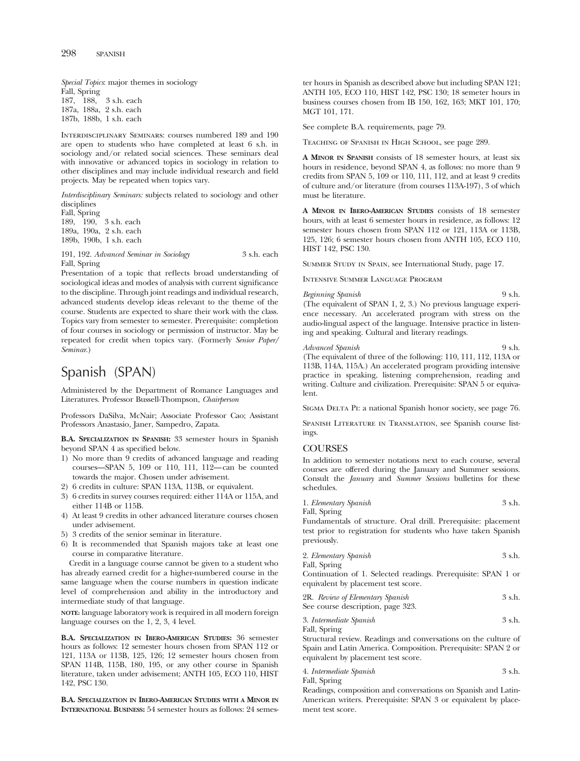*Special Topics*: major themes in sociology Fall, Spring 187, 188, 3 s.h. each 187a, 188a, 2 s.h. each 187b, 188b, 1 s.h. each

Interdisciplinary Seminars: courses numbered 189 and 190 are open to students who have completed at least 6 s.h. in sociology and/or related social sciences. These seminars deal with innovative or advanced topics in sociology in relation to other disciplines and may include individual research and field projects. May be repeated when topics vary.

*Interdisciplinary Seminars:* subjects related to sociology and other disciplines

Fall, Spring 189, 190, 3 s.h. each 189a, 190a, 2 s.h. each 189b, 190b, 1 s.h. each

191, 192. *Advanced Seminar in Sociology* 3 s.h. each Fall, Spring

Presentation of a topic that reflects broad understanding of sociological ideas and modes of analysis with current significance to the discipline. Through joint readings and individual research, advanced students develop ideas relevant to the theme of the course. Students are expected to share their work with the class. Topics vary from semester to semester. Prerequisite: completion of four courses in sociology or permission of instructor. May be repeated for credit when topics vary. (Formerly *Senior Paper/ Seminar*.)

# Spanish (SPAN)

Administered by the Department of Romance Languages and Literatures. Professor Bussell-Thompson, *Chairperson* 

Professors DaSilva, McNair; Associate Professor Cao; Assistant Professors Anastasio, Janer, Sampedro, Zapata.

**B.A. SPECIALIZATION IN SPANISH:** 33 semester hours in Spanish beyond SPAN 4 as specified below.

- 1) No more than 9 credits of advanced language and reading courses—SPAN 5, 109 or 110, 111, 112— can be counted towards the major. Chosen under advisement.
- 2) 6 credits in culture: SPAN 113A, 113B, or equivalent.
- 3) 6 credits in survey courses required: either 114A or 115A, and either 114B or 115B.
- 4) At least 9 credits in other advanced literature courses chosen under advisement.
- 5) 3 credits of the senior seminar in literature.
- 6) It is recommended that Spanish majors take at least one course in comparative literature.

Credit in a language course cannot be given to a student who has already earned credit for a higher-numbered course in the same language when the course numbers in question indicate level of comprehension and ability in the introductory and intermediate study of that language.

**NOTE:** language laboratory work is required in all modern foreign language courses on the 1, 2, 3, 4 level.

**B.A. SPECIALIZATION IN IBERO-AMERICAN STUDIES:** 36 semester hours as follows: 12 semester hours chosen from SPAN 112 or 121, 113A or 113B, 125, 126; 12 semester hours chosen from SPAN 114B, 115B, 180, 195, or any other course in Spanish literature, taken under advisement; ANTH 105, ECO 110, HIST 142, PSC 130.

**B.A. SPECIALIZATION IN IBERO-AMERICAN STUDIES WITH A MINOR IN INTERNATIONAL BUSINESS:** 54 semester hours as follows: 24 semester hours in Spanish as described above but including SPAN 121; ANTH 105, ECO 110, HIST 142, PSC 130; 18 semeter hours in business courses chosen from IB 150, 162, 163; MKT 101, 170; MGT 101, 171.

See complete B.A. requirements, page 79.

Teaching of Spanish in High School, see page 289.

**A MINOR IN SPANISH** consists of 18 semester hours, at least six hours in residence, beyond SPAN 4, as follows: no more than 9 credits from SPAN 5, 109 or 110, 111, 112, and at least 9 credits of culture and/or literature (from courses 113A-197), 3 of which must be literature.

**A MINOR IN IBERO-AMERICAN STUDIES** consists of 18 semester hours, with at least 6 semester hours in residence, as follows: 12 semester hours chosen from SPAN 112 or 121, 113A or 113B, 125, 126; 6 semester hours chosen from ANTH 105, ECO 110, HIST 142, PSC 130.

Summer Study in Spain, see International Study, page 17.

Intensive Summer Language Program

#### *Beginning Spanish* 9 s.h.

(The equivalent of SPAN 1, 2, 3.) No previous language experience necessary. An accelerated program with stress on the audio-lingual aspect of the language. Intensive practice in listening and speaking. Cultural and literary readings.

*Advanced Spanish* 9 s.h. (The equivalent of three of the following: 110, 111, 112, 113A or 113B, 114A, 115A.) An accelerated program providing intensive practice in speaking, listening comprehension, reading and writing. Culture and civilization. Prerequisite: SPAN 5 or equivalent.

Sigma Delta Pi: a national Spanish honor society, see page 76.

Spanish Literature in Translation, see Spanish course listings.

# COURSES

In addition to semester notations next to each course, several courses are offered during the January and Summer sessions. Consult the *January* and *Summer Sessions* bulletins for these schedules.

1. *Elementary Spanish* 3 s.h. Fall, Spring

Fundamentals of structure. Oral drill. Prerequisite: placement test prior to registration for students who have taken Spanish previously.

|  | 2. Elementary Spanish | 3 s.h. |  |
|--|-----------------------|--------|--|
|--|-----------------------|--------|--|

Fall, Spring

Continuation of 1. Selected readings. Prerequisite: SPAN 1 or equivalent by placement test score.

| 2R. Review of Elementary Spanish  | 3 s.h. |
|-----------------------------------|--------|
| See course description, page 323. |        |

| 3. Intermediate Spanish | 3 s.h. |
|-------------------------|--------|
| Fall, Spring            |        |

Structural review. Readings and conversations on the culture of Spain and Latin America. Composition. Prerequisite: SPAN 2 or equivalent by placement test score.

4. *Intermediate Spanish* 3 s.h. Fall, Spring

Readings, composition and conversations on Spanish and Latin-American writers. Prerequisite: SPAN 3 or equivalent by placement test score.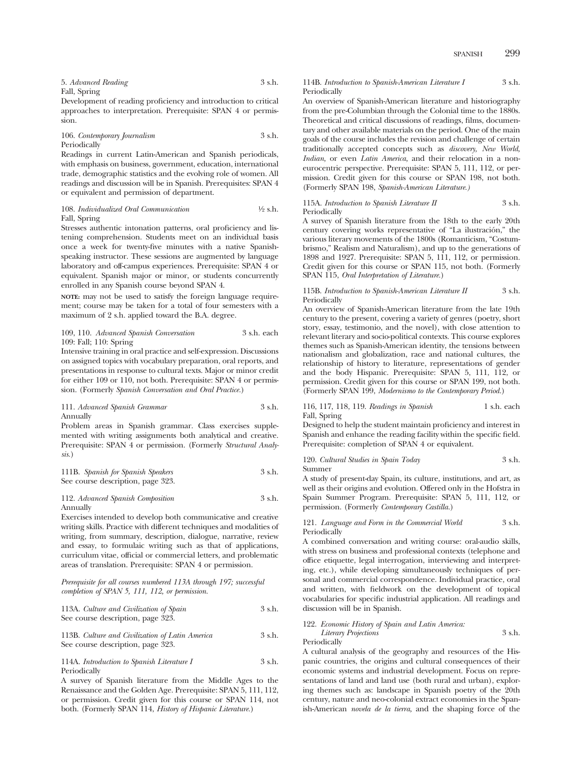| 5. Advanced Reading | 3 s.h. |
|---------------------|--------|
| Fall, Spring        |        |

Development of reading proficiency and introduction to critical approaches to interpretation. Prerequisite: SPAN 4 or permission.

#### 106. *Contemporary Journalism* 3 s.h. Periodically

Readings in current Latin-American and Spanish periodicals, with emphasis on business, government, education, international trade, demographic statistics and the evolving role of women. All readings and discussion will be in Spanish. Prerequisites: SPAN 4 or equivalent and permission of department.

108. *Individualized Oral Communication* 1⁄2 s.h. Fall, Spring

Stresses authentic intonation patterns, oral proficiency and listening comprehension. Students meet on an individual basis once a week for twenty-five minutes with a native Spanishspeaking instructor. These sessions are augmented by language laboratory and off-campus experiences. Prerequisite: SPAN 4 or equivalent. Spanish major or minor, or students concurrently enrolled in any Spanish course beyond SPAN 4.

**NOTE:** may not be used to satisfy the foreign language requirement; course may be taken for a total of four semesters with a maximum of 2 s.h. applied toward the B.A. degree.

#### 109, 110. *Advanced Spanish Conversation* 3 s.h. each 109: Fall; 110: Spring

Intensive training in oral practice and self-expression. Discussions on assigned topics with vocabulary preparation, oral reports, and presentations in response to cultural texts. Major or minor credit for either 109 or 110, not both. Prerequisite: SPAN 4 or permission. (Formerly *Spanish Conversation and Oral Practice.*)

111. *Advanced Spanish Grammar* 3 s.h. Annually

Problem areas in Spanish grammar. Class exercises supplemented with writing assignments both analytical and creative. Prerequisite: SPAN 4 or permission. (Formerly *Structural Analysis.*)

111B. *Spanish for Spanish Speakers*  See course description, page 323. 3 s.h.

#### 112. *Advanced Spanish Composition*  Annually 3 s.h.

Exercises intended to develop both communicative and creative writing skills. Practice with different techniques and modalities of writing, from summary, description, dialogue, narrative, review and essay, to formulaic writing such as that of applications, curriculum vitae, official or commercial letters, and problematic areas of translation. Prerequisite: SPAN 4 or permission.

#### *Prerequisite for all courses numbered 113A through 197; successful completion of SPAN 5, 111, 112, or permission.*

113A. *Culture and Civilization of Spain* 3 s.h. See course description, page 323.

113B. *Culture and Civilization of Latin America* 3 s.h. See course description, page 323.

#### 114A. *Introduction to Spanish Literature I* 3 s.h. Periodically

A survey of Spanish literature from the Middle Ages to the Renaissance and the Golden Age. Prerequisite: SPAN 5, 111, 112, or permission. Credit given for this course or SPAN 114, not both. (Formerly SPAN 114, *History of Hispanic Literature.*)

#### 114B. *Introduction to Spanish-American Literature I* 3 s.h. Periodically

An overview of Spanish-American literature and historiography from the pre-Columbian through the Colonial time to the 1880s. Theoretical and critical discussions of readings, films, documentary and other available materials on the period. One of the main goals of the course includes the revision and challenge of certain traditionally accepted concepts such as *discovery, New World, Indian,* or even *Latin America,* and their relocation in a noneurocentric perspective. Prerequisite: SPAN 5, 111, 112, or permission. Credit given for this course or SPAN 198, not both. (Formerly SPAN 198, *Spanish-American Literature.)* 

#### 115A. *Introduction to Spanish Literature II* 3 s.h. **Periodically**

A survey of Spanish literature from the 18th to the early 20th century covering works representative of "La ilustración," the various literary movements of the 1800s (Romanticism, "Costumbrismo," Realism and Naturalism), and up to the generations of 1898 and 1927. Prerequisite: SPAN 5, 111, 112, or permission. Credit given for this course or SPAN 115, not both. (Formerly SPAN 115, *Oral Interpretation of Literature.*)

115B. *Introduction to Spanish-American Literature II* 3 s.h. Periodically

An overview of Spanish-American literature from the late 19th century to the present, covering a variety of genres (poetry, short story, essay, testimonio, and the novel), with close attention to relevant literary and socio-political contexts. This course explores themes such as Spanish-American identity, the tensions between nationalism and globalization, race and national cultures, the relationship of history to literature, representations of gender and the body Hispanic. Prerequisite: SPAN 5, 111, 112, or permission. Credit given for this course or SPAN 199, not both. (Formerly SPAN 199, *Modernismo to the Contemporary Period.*)

#### 116, 117, 118, 119. *Readings in Spanish* 1 s.h. each Fall, Spring

Designed to help the student maintain proficiency and interest in Spanish and enhance the reading facility within the specific field. Prerequisite: completion of SPAN 4 or equivalent.

120. *Cultural Studies in Spain Today* 3 s.h. Summer

A study of present-day Spain, its culture, institutions, and art, as well as their origins and evolution. Offered only in the Hofstra in Spain Summer Program. Prerequisite: SPAN 5, 111, 112, or permission. (Formerly *Contemporary Castilla.*)

#### 121. *Language and Form in the Commercial World* 3 s.h. **Periodically**

A combined conversation and writing course: oral-audio skills, with stress on business and professional contexts (telephone and office etiquette, legal interrogation, interviewing and interpreting, etc.), while developing simultaneously techniques of personal and commercial correspondence. Individual practice, oral and written, with fieldwork on the development of topical vocabularies for specific industrial application. All readings and discussion will be in Spanish.

#### 122. *Economic History of Spain and Latin America:*

*Literary Projections* 3 s.h. Periodically A cultural analysis of the geography and resources of the Hispanic countries, the origins and cultural consequences of their economic systems and industrial development. Focus on representations of land and land use (both rural and urban), exploring themes such as: landscape in Spanish poetry of the 20th century, nature and neo-colonial extract economies in the Span-

ish-American *novela de la tierra,* and the shaping force of the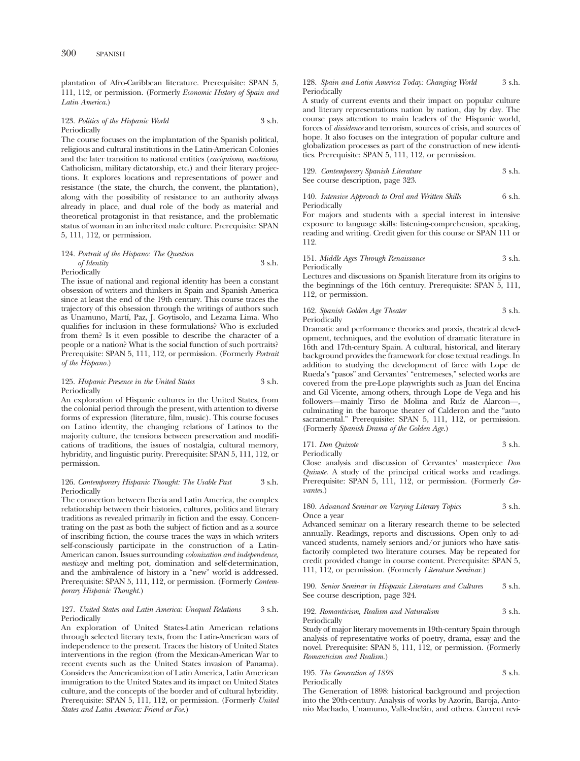plantation of Afro-Caribbean literature. Prerequisite: SPAN 5, 111, 112, or permission. (Formerly *Economic History of Spain and Latin America.*)

#### 123. *Politics of the Hispanic World* 3 s.h. Periodically

The course focuses on the implantation of the Spanish political, religious and cultural institutions in the Latin-American Colonies and the later transition to national entities (*caciquismo, machismo,*  Catholicism, military dictatorship, etc.) and their literary projections. It explores locations and representations of power and resistance (the state, the church, the convent, the plantation), along with the possibility of resistance to an authority always already in place, and dual role of the body as material and theoretical protagonist in that resistance, and the problematic status of woman in an inherited male culture. Prerequisite: SPAN 5, 111, 112, or permission.

#### 124. *Portrait of the Hispano: The Question of Identity* 3 s.h. Periodically

The issue of national and regional identity has been a constant obsession of writers and thinkers in Spain and Spanish America since at least the end of the 19th century. This course traces the trajectory of this obsession through the writings of authors such as Unamuno, Martí, Paz, J. Goytisolo, and Lezama Lima. Who qualifies for inclusion in these formulations? Who is excluded from them? Is it even possible to describe the character of a people or a nation? What is the social function of such portraits? Prerequisite: SPAN 5, 111, 112, or permission. (Formerly *Portrait of the Hispano.*)

#### 125. *Hispanic Presence in the United States* 3 s.h. Periodically

An exploration of Hispanic cultures in the United States, from the colonial period through the present, with attention to diverse forms of expression (literature, film, music). This course focuses on Latino identity, the changing relations of Latinos to the majority culture, the tensions between preservation and modifications of traditions, the issues of nostalgia, cultural memory, hybridity, and linguistic purity. Prerequisite: SPAN 5, 111, 112, or permission.

#### 126. *Contemporary Hispanic Thought: The Usable Past* 3 s.h. Periodically

The connection between Iberia and Latin America, the complex relationship between their histories, cultures, politics and literary traditions as revealed primarily in fiction and the essay. Concentrating on the past as both the subject of fiction and as a source of inscribing fiction, the course traces the ways in which writers self-consciously participate in the construction of a Latin-American canon. Issues surrounding *colonization and independence, mestizaje* and melting pot, domination and self-determination, and the ambivalence of history in a "new" world is addressed. Prerequisite: SPAN 5, 111, 112, or permission. (Formerly *Contemporary Hispanic Thought.*)

#### 127. *United States and Latin America: Unequal Relations* 3 s.h. Periodically

An exploration of United States-Latin American relations through selected literary texts, from the Latin-American wars of independence to the present. Traces the history of United States interventions in the region (from the Mexican-American War to recent events such as the United States invasion of Panama). Considers the Americanization of Latin America, Latin American immigration to the United States and its impact on United States culture, and the concepts of the border and of cultural hybridity. Prerequisite: SPAN 5, 111, 112, or permission. (Formerly *United States and Latin America: Friend or Foe.*)

128. *Spain and Latin America Today: Changing World* 3 s.h. Periodically

A study of current events and their impact on popular culture and literary representations nation by nation, day by day. The course pays attention to main leaders of the Hispanic world, forces of *dissidence* and terrorism, sources of crisis, and sources of hope. It also focuses on the integration of popular culture and globalization processes as part of the construction of new identities. Prerequisite: SPAN 5, 111, 112, or permission.

| 129. Contemporary Spanish Literature | 3 s.h. |
|--------------------------------------|--------|
| See course description, page 323.    |        |

140. *Intensive Approach to Oral and Written Skills* 6 s.h. Periodically

For majors and students with a special interest in intensive exposure to language skills: listening-comprehension, speaking, reading and writing. Credit given for this course or SPAN 111 or 112.

151. *Middle Ages Through Renaissance* 3 s.h. Periodically

Lectures and discussions on Spanish literature from its origins to the beginnings of the 16th century. Prerequisite: SPAN 5, 111, 112, or permission.

#### 162. *Spanish Golden Age Theater* 3 s.h. Periodically

Dramatic and performance theories and praxis, theatrical development, techniques, and the evolution of dramatic literature in 16th and 17th-century Spain. A cultural, historical, and literary background provides the framework for close textual readings. In addition to studying the development of farce with Lope de Rueda's "pasos" and Cervantes' "entremeses," selected works are covered from the pre-Lope playwrights such as Juan del Encina and Gil Vicente, among others, through Lope de Vega and his followers—mainly Tirso de Molina and Ruíz de Alarcon—, culminating in the baroque theater of Calderon and the "auto sacramental." Prerequisite: SPAN 5, 111, 112, or permission. (Formerly *Spanish Drama of the Golden Age.*)

171. *Don Quixote* 3 s.h. Periodically

Close analysis and discussion of Cervantes' masterpiece *Don Quixote.* A study of the principal critical works and readings. Prerequisite: SPAN 5, 111, 112, or permission. (Formerly *Cervantes.*)

180. *Advanced Seminar on Varying Literary Topics* 3 s.h. Once a year

Advanced seminar on a literary research theme to be selected annually. Readings, reports and discussions. Open only to advanced students, namely seniors and/or juniors who have satisfactorily completed two literature courses. May be repeated for credit provided change in course content. Prerequisite: SPAN 5, 111, 112, or permission. (Formerly *Literature Seminar.*)

190. *Senior Seminar in Hispanic Literatures and Cultures* 3 s.h. See course description, page 324.

192. *Romanticism, Realism and Naturalism* 3 s.h. Periodically

Study of major literary movements in 19th-century Spain through analysis of representative works of poetry, drama, essay and the novel. Prerequisite: SPAN 5, 111, 112, or permission. (Formerly *Romanticism and Realism.*)

195. *The Generation of 1898* 3 s.h. Periodically

The Generation of 1898: historical background and projection into the 20th-century. Analysis of works by Azorín, Baroja, Antonio Machado, Unamuno, Valle-Inclán, and others. Current revi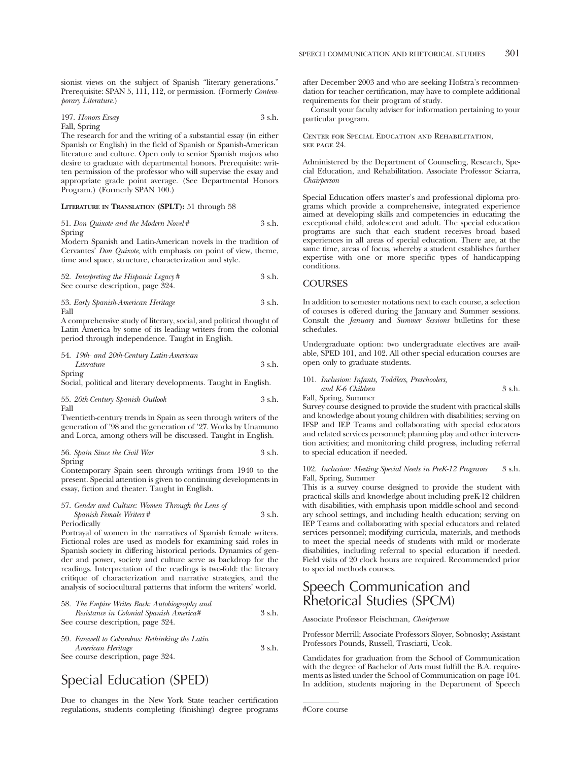sionist views on the subject of Spanish "literary generations." Prerequisite: SPAN 5, 111, 112, or permission. (Formerly *Contemporary Literature.*)

197. *Honors Essay* 3 s.h. Fall, Spring

The research for and the writing of a substantial essay (in either Spanish or English) in the field of Spanish or Spanish-American literature and culture. Open only to senior Spanish majors who desire to graduate with departmental honors. Prerequisite: written permission of the professor who will supervise the essay and appropriate grade point average. (See Departmental Honors Program.) (Formerly SPAN 100.)

#### **LITERATURE IN TRANSLATION (SPLT):** 51 through 58

51. *Don Quixote and the Modern Novel* # 3 s.h. Spring

Modern Spanish and Latin-American novels in the tradition of Cervantes' *Don Quixote*, with emphasis on point of view, theme, time and space, structure, characterization and style.

52. *Interpreting the Hispanic Legacy* # See course description, page 324. 3 s.h.

53. *Early Spanish-American Heritage*  Fall 3 s.h.

A comprehensive study of literary, social, and political thought of Latin America by some of its leading writers from the colonial period through independence. Taught in English.

54. *19th- and 20th-Century Latin-American Literature* 3 s.h. Spring

Social, political and literary developments. Taught in English.

55. *20th-Century Spanish Outlook* 3 s.h. Fall

Twentieth-century trends in Spain as seen through writers of the generation of '98 and the generation of '27. Works by Unamuno and Lorca, among others will be discussed. Taught in English.

56. *Spain Since the Civil War* 3 s.h. Spring

Contemporary Spain seen through writings from 1940 to the present. Special attention is given to continuing developments in essay, fiction and theater. Taught in English.

# 57. *Gender and Culture: Women Through the Lens of*

*Spanish Female Writers* # 3 s.h. Periodically

Portrayal of women in the narratives of Spanish female writers. Fictional roles are used as models for examining said roles in Spanish society in differing historical periods. Dynamics of gender and power, society and culture serve as backdrop for the readings. Interpretation of the readings is two-fold: the literary critique of characterization and narrative strategies, and the analysis of sociocultural patterns that inform the writers' world.

58. *The Empire Writes Back: Autobiography and Resistance in Colonial Spanish America#* 3 s.h. See course description, page 324.

59. *Farewell to Columbus: Rethinking the Latin American Heritage* 3 s.h. See course description, page 324.

# Special Education (SPED)

Due to changes in the New York State teacher certification regulations, students completing (finishing) degree programs after December 2003 and who are seeking Hofstra's recommendation for teacher certification, may have to complete additional requirements for their program of study.

Consult your faculty adviser for information pertaining to your particular program.

Center for Special Education and Rehabilitation, see page 24.

Administered by the Department of Counseling, Research, Special Education, and Rehabilitation. Associate Professor Sciarra, *Chairperson* 

Special Education offers master's and professional diploma programs which provide a comprehensive, integrated experience aimed at developing skills and competencies in educating the exceptional child, adolescent and adult. The special education programs are such that each student receives broad based experiences in all areas of special education. There are, at the same time, areas of focus, whereby a student establishes further expertise with one or more specific types of handicapping conditions.

#### **COURSES**

In addition to semester notations next to each course, a selection of courses is offered during the January and Summer sessions. Consult the *January* and *Summer Sessions* bulletins for these schedules.

Undergraduate option: two undergraduate electives are available, SPED 101, and 102. All other special education courses are open only to graduate students.

101. *Inclusion: Infants, Toddlers, Preschoolers, and K-6 Children* 3 s.h.

Fall, Spring, Summer

Survey course designed to provide the student with practical skills and knowledge about young children with disabilities; serving on IFSP and IEP Teams and collaborating with special educators and related services personnel; planning play and other intervention activities; and monitoring child progress, including referral to special education if needed.

102. *Inclusion: Meeting Special Needs in PreK-12 Programs* 3 s.h. Fall, Spring, Summer

This is a survey course designed to provide the student with practical skills and knowledge about including preK-12 children with disabilities, with emphasis upon middle-school and secondary school settings, and including health education; serving on IEP Teams and collaborating with special educators and related services personnel; modifying curricula, materials, and methods to meet the special needs of students with mild or moderate disabilities, including referral to special education if needed. Field visits of 20 clock hours are required. Recommended prior to special methods courses.

# Speech Communication and Rhetorical Studies (SPCM)

Associate Professor Fleischman, *Chairperson* 

Professor Merrill; Associate Professors Sloyer, Sobnosky; Assistant Professors Pounds, Russell, Trasciatti, Ucok.

Candidates for graduation from the School of Communication with the degree of Bachelor of Arts must fulfill the B.A. requirements as listed under the School of Communication on page 104. In addition, students majoring in the Department of Speech

<sup>#</sup>Core course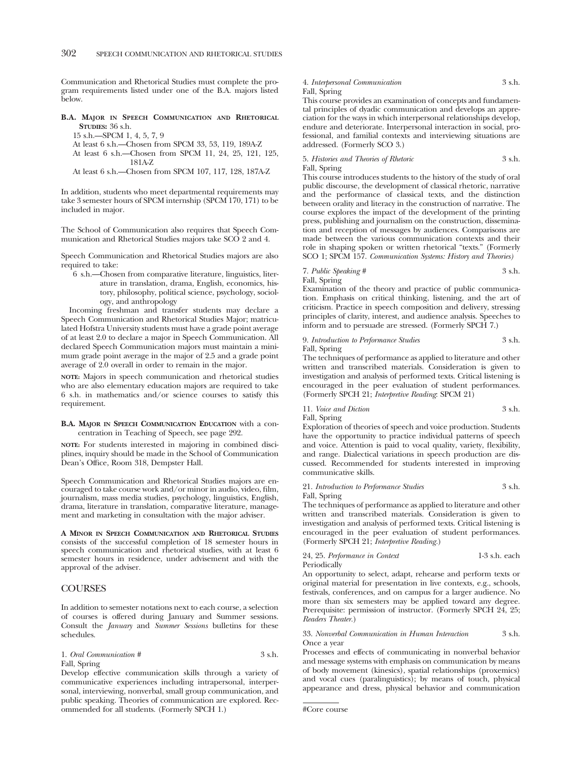Communication and Rhetorical Studies must complete the program requirements listed under one of the B.A. majors listed below.

#### **B.A. MAJOR IN SPEECH COMMUNICATION AND RHETORICAL STUDIES:** 36 s.h.

15 s.h.—SPCM 1, 4, 5, 7, 9

At least 6 s.h.—Chosen from SPCM 33, 53, 119, 189A-Z

At least 6 s.h.—Chosen from SPCM 11, 24, 25, 121, 125, 181A-Z

At least 6 s.h.—Chosen from SPCM 107, 117, 128, 187A-Z

In addition, students who meet departmental requirements may take 3 semester hours of SPCM internship (SPCM 170, 171) to be included in major.

The School of Communication also requires that Speech Communication and Rhetorical Studies majors take SCO 2 and 4.

Speech Communication and Rhetorical Studies majors are also required to take:

6 s.h.—Chosen from comparative literature, linguistics, literature in translation, drama, English, economics, history, philosophy, political science, psychology, sociology, and anthropology

Incoming freshman and transfer students may declare a Speech Communication and Rhetorical Studies Major; matriculated Hofstra University students must have a grade point average of at least 2.0 to declare a major in Speech Communication. All declared Speech Communication majors must maintain a minimum grade point average in the major of 2.5 and a grade point average of 2.0 overall in order to remain in the major.

**NOTE:** Majors in speech communication and rhetorical studies who are also elementary education majors are required to take 6 s.h. in mathematics and/or science courses to satisfy this requirement.

#### **B.A. MAJOR IN SPEECH COMMUNICATION EDUCATION** with a concentration in Teaching of Speech, see page 292.

**NOTE:** For students interested in majoring in combined disciplines, inquiry should be made in the School of Communication Dean's Office, Room 318, Dempster Hall.

Speech Communication and Rhetorical Studies majors are encouraged to take course work and/or minor in audio, video, film, journalism, mass media studies, psychology, linguistics, English, drama, literature in translation, comparative literature, management and marketing in consultation with the major adviser.

**A MINOR IN SPEECH COMMUNICATION AND RHETORICAL STUDIES**  consists of the successful completion of 18 semester hours in speech communication and rhetorical studies, with at least 6 semester hours in residence, under advisement and with the approval of the adviser.

# **COURSES**

In addition to semester notations next to each course, a selection of courses is offered during January and Summer sessions. Consult the *January* and *Summer Sessions* bulletins for these schedules.

## 1. *Oral Communication #* 3 s.h. Fall, Spring

Develop effective communication skills through a variety of communicative experiences including intrapersonal, interpersonal, interviewing, nonverbal, small group communication, and public speaking. Theories of communication are explored. Recommended for all students. (Formerly SPCH 1.)

# 4. *Interpersonal Communication* 3 s.h.

#### Fall, Spring

This course provides an examination of concepts and fundamental principles of dyadic communication and develops an appreciation for the ways in which interpersonal relationships develop, endure and deteriorate. Interpersonal interaction in social, professional, and familial contexts and interviewing situations are addressed. (Formerly SCO 3.)

#### 5. *Histories and Theories of Rhetoric* 3 s.h. Fall, Spring

This course introduces students to the history of the study of oral public discourse, the development of classical rhetoric, narrative and the performance of classical texts, and the distinction between orality and literacy in the construction of narrative. The course explores the impact of the development of the printing press, publishing and journalism on the construction, dissemination and reception of messages by audiences. Comparisons are made between the various communication contexts and their role in shaping spoken or written rhetorical "texts." (Formerly SCO 1; SPCM 157. *Communication Systems: History and Theories)* 

7. *Public Speaking #* 3 s.h. Fall, Spring

Examination of the theory and practice of public communication. Emphasis on critical thinking, listening, and the art of criticism. Practice in speech composition and delivery, stressing principles of clarity, interest, and audience analysis. Speeches to inform and to persuade are stressed. (Formerly SPCH 7.)

#### 9. *Introduction to Performance Studies* 3 s.h. Fall, Spring

The techniques of performance as applied to literature and other written and transcribed materials. Consideration is given to investigation and analysis of performed texts. Critical listening is encouraged in the peer evaluation of student performances. (Formerly SPCH 21; *Interpretive Reading*: SPCM 21)

#### 11. *Voice and Diction* 3 s.h. Fall, Spring

Exploration of theories of speech and voice production. Students have the opportunity to practice individual patterns of speech and voice. Attention is paid to vocal quality, variety, flexibility, and range. Dialectical variations in speech production are discussed. Recommended for students interested in improving communicative skills.

#### 21. *Introduction to Performance Studies* 3 s.h. Fall, Spring

The techniques of performance as applied to literature and other written and transcribed materials. Consideration is given to investigation and analysis of performed texts. Critical listening is encouraged in the peer evaluation of student performances. (Formerly SPCH 21; *Interpretive Reading.*)

24, 25. *Performance in Context* 1-3 s.h. each Periodically

An opportunity to select, adapt, rehearse and perform texts or original material for presentation in live contexts, e.g., schools, festivals, conferences, and on campus for a larger audience. No more than six semesters may be applied toward any degree. Prerequisite: permission of instructor. (Formerly SPCH 24, 25; *Readers Theater.*)

#### 33. *Nonverbal Communication in Human Interaction* 3 s.h. Once a year

Processes and effects of communicating in nonverbal behavior and message systems with emphasis on communication by means of body movement (kinesics), spatial relationships (proxemics) and vocal cues (paralinguistics); by means of touch, physical appearance and dress, physical behavior and communication

<sup>#</sup>Core course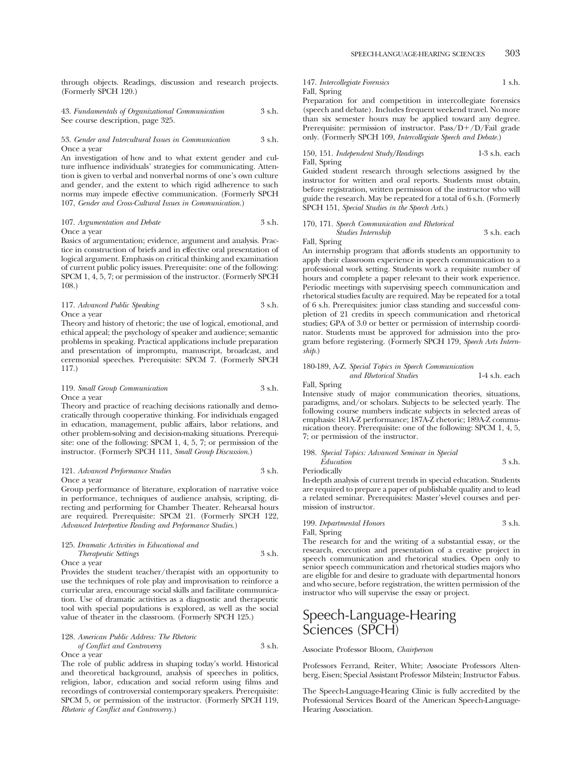through objects. Readings, discussion and research projects. (Formerly SPCH 120.)

43. *Fundamentals of Organizational Communication* 3 s.h. See course description, page 325.

#### 53. *Gender and Intercultural Issues in Communication* 3 s.h. Once a year

An investigation of how and to what extent gender and culture influence individuals' strategies for communicating. Attention is given to verbal and nonverbal norms of one's own culture and gender, and the extent to which rigid adherence to such norms may impede effective communication. (Formerly SPCH 107, *Gender and Cross-Cultural Issues in Communication.*)

#### 107. *Argumentation and Debate* 3 s.h. Once a year

Basics of argumentation; evidence, argument and analysis. Practice in construction of briefs and in effective oral presentation of logical argument. Emphasis on critical thinking and examination of current public policy issues. Prerequisite: one of the following: SPCM 1, 4, 5, 7; or permission of the instructor. (Formerly SPCH 108.)

117. *Advanced Public Speaking* 3 s.h. Once a year

Theory and history of rhetoric; the use of logical, emotional, and ethical appeal; the psychology of speaker and audience; semantic problems in speaking. Practical applications include preparation and presentation of impromptu, manuscript, broadcast, and ceremonial speeches. Prerequisite: SPCM 7. (Formerly SPCH 117.)

# 119. *Small Group Communication* 3 s.h. Once a year

Theory and practice of reaching decisions rationally and democratically through cooperative thinking. For individuals engaged in education, management, public affairs, labor relations, and other problem-solving and decision-making situations. Prerequisite: one of the following: SPCM 1, 4, 5, 7; or permission of the instructor. (Formerly SPCH 111, *Small Group Discussion.*)

#### 121. *Advanced Performance Studies* 3 s.h. Once a year

Group performance of literature, exploration of narrative voice in performance, techniques of audience analysis, scripting, directing and performing for Chamber Theater. Rehearsal hours are required. Prerequisite: SPCM 21. (Formerly SPCH 122, *Advanced Interpretive Reading and Performance Studies.*)

#### 125. *Dramatic Activities in Educational and Therapeutic Settings* 3 s.h. Once a year

Provides the student teacher/therapist with an opportunity to use the techniques of role play and improvisation to reinforce a curricular area, encourage social skills and facilitate communication. Use of dramatic activities as a diagnostic and therapeutic tool with special populations is explored, as well as the social value of theater in the classroom. (Formerly SPCH 125.)

#### 128. *American Public Address: The Rhetoric of Conflict and Controversy* 3 s.h. Once a year

The role of public address in shaping today's world. Historical and theoretical background, analysis of speeches in politics, religion, labor, education and social reform using films and recordings of controversial contemporary speakers. Prerequisite: SPCM 5, or permission of the instructor. (Formerly SPCH 119, *Rhetoric of Conflict and Controversy.*)

#### 147. *Intercollegiate Forensics* 1 s.h. Fall, Spring

Preparation for and competition in intercollegiate forensics (speech and debate). Includes frequent weekend travel. No more than six semester hours may be applied toward any degree. Prerequisite: permission of instructor. Pass/D+/D/Fail grade only. (Formerly SPCH 109, *Intercollegiate Speech and Debate.*)

#### 150, 151. *Independent Study/Readings* 1-3 s.h. each Fall, Spring

Guided student research through selections assigned by the instructor for written and oral reports. Students must obtain, before registration, written permission of the instructor who will guide the research. May be repeated for a total of 6 s.h. (Formerly SPCH 151, *Special Studies in the Speech Arts.*)

# 170, 171. *Speech Communication and Rhetorical Studies Internship* 3 s.h. each

Fall, Spring An internship program that affords students an opportunity to apply their classroom experience in speech communication to a professional work setting. Students work a requisite number of hours and complete a paper relevant to their work experience. Periodic meetings with supervising speech communication and rhetorical studies faculty are required. May be repeated for a total of 6 s.h. Prerequisites: junior class standing and successful completion of 21 credits in speech communication and rhetorical studies; GPA of 3.0 or better or permission of internship coordinator. Students must be approved for admission into the program before registering. (Formerly SPCH 179, *Speech Arts Internship.*)

#### 180-189, A-Z. *Special Topics in Speech Communication and Rhetorical Studies* 1-4 s.h. each

Fall, Spring

Intensive study of major communication theories, situations, paradigms, and/or scholars. Subjects to be selected yearly. The following course numbers indicate subjects in selected areas of emphasis: 181A-Z performance; 187A-Z rhetoric; 189A-Z communication theory. Prerequisite: one of the following: SPCM 1, 4, 5, 7; or permission of the instructor.

198. *Special Topics: Advanced Seminar in Special* 

*Education* 3 s.h. Periodically

In-depth analysis of current trends in special education. Students are required to prepare a paper of publishable quality and to lead a related seminar. Prerequisites: Master's-level courses and permission of instructor.

#### 199. *Departmental Honors* 3 s.h. Fall, Spring

The research for and the writing of a substantial essay, or the research, execution and presentation of a creative project in speech communication and rhetorical studies. Open only to senior speech communication and rhetorical studies majors who are eligible for and desire to graduate with departmental honors and who secure, before registration, the written permission of the instructor who will supervise the essay or project.

# Speech-Language-Hearing Sciences (SPCH)

Associate Professor Bloom, *Chairperson* 

Professors Ferrand, Reiter, White; Associate Professors Altenberg, Eisen; Special Assistant Professor Milstein; Instructor Fabus.

The Speech-Language-Hearing Clinic is fully accredited by the Professional Services Board of the American Speech-Language-Hearing Association.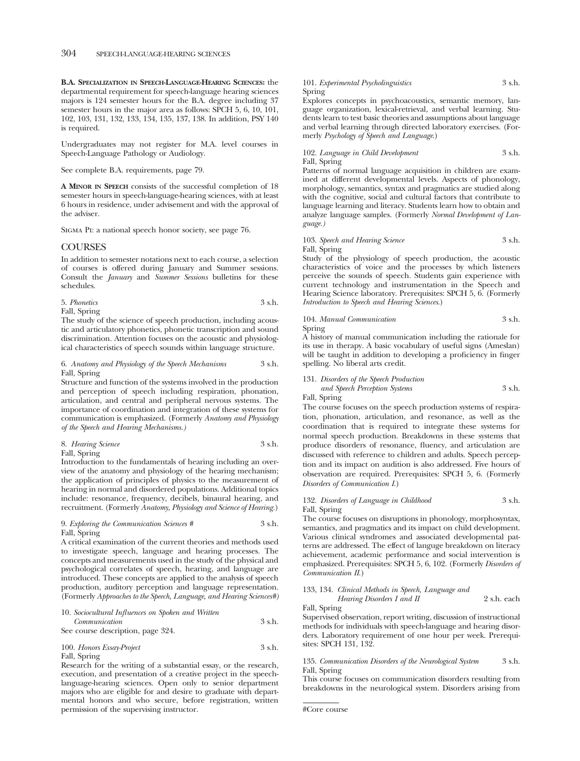**B.A. SPECIALIZATION IN SPEECH-LANGUAGE-HEARING SCIENCES:** the departmental requirement for speech-language hearing sciences majors is 124 semester hours for the B.A. degree including 37 semester hours in the major area as follows: SPCH 5, 6, 10, 101, 102, 103, 131, 132, 133, 134, 135, 137, 138. In addition, PSY 140 is required.

Undergraduates may not register for M.A. level courses in Speech-Language Pathology or Audiology.

See complete B.A. requirements, page 79.

**A MINOR IN SPEECH** consists of the successful completion of 18 semester hours in speech-language-hearing sciences, with at least 6 hours in residence, under advisement and with the approval of the adviser.

Sigma Pi: a national speech honor society, see page 76.

### **COURSES**

In addition to semester notations next to each course, a selection of courses is offered during January and Summer sessions. Consult the *January* and *Summer Sessions* bulletins for these schedules.

5. *Phonetics* 3 s.h. Fall, Spring

The study of the science of speech production, including acoustic and articulatory phonetics, phonetic transcription and sound discrimination. Attention focuses on the acoustic and physiological characteristics of speech sounds within language structure.

#### 6. *Anatomy and Physiology of the Speech Mechanisms* 3 s.h. Fall, Spring

Structure and function of the systems involved in the production and perception of speech including respiration, phonation, articulation, and central and peripheral nervous systems. The importance of coordination and integration of these systems for communication is emphasized. (Formerly *Anatomy and Physiology of the Speech and Hearing Mechanisms.)* 

#### 8. *Hearing Science* 3 s.h. Fall, Spring

Introduction to the fundamentals of hearing including an overview of the anatomy and physiology of the hearing mechanism; the application of principles of physics to the measurement of hearing in normal and disordered populations. Additional topics include: resonance, frequency, decibels, binaural hearing, and recruitment. (Formerly *Anatomy, Physiology and Science of Hearing.*)

#### 9. *Exploring the Communication Sciences #* 3 s.h. Fall, Spring

A critical examination of the current theories and methods used to investigate speech, language and hearing processes. The concepts and measurements used in the study of the physical and psychological correlates of speech, hearing, and language are introduced. These concepts are applied to the analysis of speech production, auditory perception and language representation. (Formerly *Approaches to the Speech, Language, and Hearing Sciences#)* 

10. *Sociocultural Influences on Spoken and Written Communication* 3 s.h. See course description, page 324.

100. *Honors Essay-Project* 3 s.h. Fall, Spring

Research for the writing of a substantial essay, or the research, execution, and presentation of a creative project in the speechlanguage-hearing sciences. Open only to senior department majors who are eligible for and desire to graduate with departmental honors and who secure, before registration, written permission of the supervising instructor.

#### 101. *Experimental Psycholinguistics* 3 s.h. Spring

Explores concepts in psychoacoustics, semantic memory, language organization, lexical-retrieval, and verbal learning. Students learn to test basic theories and assumptions about language and verbal learning through directed laboratory exercises. (Formerly *Psychology of Speech and Language*.)

#### 102. *Language in Child Development* 3 s.h. Fall, Spring

Patterns of normal language acquisition in children are examined at different developmental levels. Aspects of phonology, morphology, semantics, syntax and pragmatics are studied along with the cognitive, social and cultural factors that contribute to language learning and literacy. Students learn how to obtain and analyze language samples. (Formerly *Normal Development of Language.)* 

#### 103. *Speech and Hearing Science* 3 s.h. Fall, Spring

Study of the physiology of speech production, the acoustic characteristics of voice and the processes by which listeners perceive the sounds of speech. Students gain experience with current technology and instrumentation in the Speech and Hearing Science laboratory. Prerequisites: SPCH 5, 6. (Formerly *Introduction to Speech and Hearing Sciences*.)

104. *Manual Communication* 3 s.h. Spring

A history of manual communication including the rationale for its use in therapy. A basic vocabulary of useful signs (Ameslan) will be taught in addition to developing a proficiency in finger spelling. No liberal arts credit.

#### 131. *Disorders of the Speech Production and Speech Perception Systems* 3 s.h. Fall, Spring

The course focuses on the speech production systems of respiration, phonation, articulation, and resonance, as well as the coordination that is required to integrate these systems for normal speech production. Breakdowns in these systems that produce disorders of resonance, fluency, and articulation are discussed with reference to children and adults. Speech perception and its impact on audition is also addressed. Five hours of observation are required. Prerequisites: SPCH 5, 6. (Formerly

### 132. *Disorders of Language in Childhood* 3 s.h. Fall, Spring

The course focuses on disruptions in phonology, morphosyntax, semantics, and pragmatics and its impact on child development. Various clinical syndromes and associated developmental patterns are addressed. The effect of languge breakdown on literacy achievement, academic performance and social intervention is emphasized. Prerequisites: SPCH 5, 6, 102. (Formerly *Disorders of Communication II*.)

#### 133, 134. *Clinical Methods in Speech, Language and*

*Disorders of Communication I*.)

*Hearing Disorders I and II* 2 s.h. each Fall, Spring

Supervised observation, report writing, discussion of instructional methods for individuals with speech-language and hearing disorders. Laboratory requirement of one hour per week. Prerequisites: SPCH 131, 132.

#### 135. *Communication Disorders of the Neurological System* 3 s.h. Fall, Spring

This course focuses on communication disorders resulting from breakdowns in the neurological system. Disorders arising from

```
#Core course
```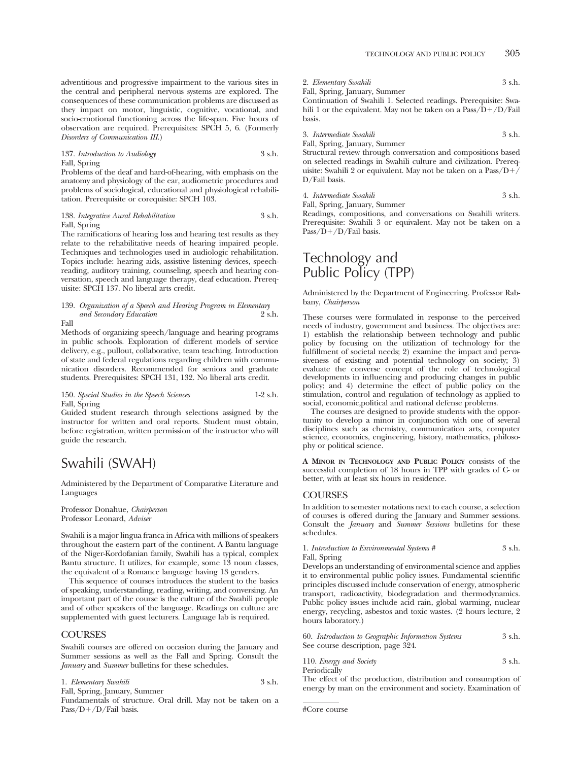adventitious and progressive impairment to the various sites in the central and peripheral nervous systems are explored. The consequences of these communication problems are discussed as they impact on motor, linguistic, cognitive, vocational, and socio-emotional functioning across the life-span. Five hours of observation are required. Prerequisites: SPCH 5, 6. (Formerly *Disorders of Communication III*.)

#### 137. *Introduction to Audiology* 3 s.h. Fall, Spring

Problems of the deaf and hard-of-hearing, with emphasis on the anatomy and physiology of the ear, audiometric procedures and problems of sociological, educational and physiological rehabilitation. Prerequisite or corequisite: SPCH 103.

#### 138. *Integrative Aural Rehabilitation* 3 s.h. Fall, Spring

The ramifications of hearing loss and hearing test results as they relate to the rehabilitative needs of hearing impaired people. Techniques and technologies used in audiologic rehabilitation. Topics include: hearing aids, assistive listening devices, speechreading, auditory training, counseling, speech and hearing conversation, speech and language therapy, deaf education. Prerequisite: SPCH 137. No liberal arts credit.

# 139. *Organization of a Speech and Hearing Program in Elementary and Secondary Education* 2 s.h.

Fall

Methods of organizing speech/language and hearing programs in public schools. Exploration of different models of service delivery, e.g., pullout, collaborative, team teaching. Introduction of state and federal regulations regarding children with communication disorders. Recommended for seniors and graduate students. Prerequisites: SPCH 131, 132. No liberal arts credit.

#### 150. *Special Studies in the Speech Sciences* 1-2 s.h. Fall, Spring

Guided student research through selections assigned by the instructor for written and oral reports. Student must obtain, before registration, written permission of the instructor who will guide the research.

# Swahili (SWAH)

Administered by the Department of Comparative Literature and Languages

Professor Donahue, *Chairperson*  Professor Leonard, *Adviser* 

Swahili is a major lingua franca in Africa with millions of speakers throughout the eastern part of the continent. A Bantu language of the Niger-Kordofanian family, Swahili has a typical, complex Bantu structure. It utilizes, for example, some 13 noun classes, the equivalent of a Romance language having 13 genders.

This sequence of courses introduces the student to the basics of speaking, understanding, reading, writing, and conversing. An important part of the course is the culture of the Swahili people and of other speakers of the language. Readings on culture are supplemented with guest lecturers. Language lab is required.

# **COURSES**

Swahili courses are offered on occasion during the January and Summer sessions as well as the Fall and Spring. Consult the *January* and *Summer* bulletins for these schedules.

1. *Elementary Swahili* 3 s.h.

Fall, Spring, January, Summer

Fundamentals of structure. Oral drill. May not be taken on a Pass/D+/D/Fail basis.

2. *Elementary Swahili* 3 s.h.

Fall, Spring, January, Summer

Continuation of Swahili 1. Selected readings. Prerequisite: Swahili 1 or the equivalent. May not be taken on a Pass/D+/D/Fail basis.

3. *Intermediate Swahili* 3 s.h.

Fall, Spring, January, Summer Structural review through conversation and compositions based on selected readings in Swahili culture and civilization. Prerequisite: Swahili 2 or equivalent. May not be taken on a Pass/D-/ D/Fail basis.

4. *Intermediate Swahili* 3 s.h. Fall, Spring, January, Summer

Readings, compositions, and conversations on Swahili writers. Prerequisite: Swahili 3 or equivalent. May not be taken on a Pass/D+/D/Fail basis.

# Technology and Public Policy (TPP)

Administered by the Department of Engineering. Professor Rabbany, *Chairperson* 

These courses were formulated in response to the perceived needs of industry, government and business. The objectives are: 1) establish the relationship between technology and public policy by focusing on the utilization of technology for the fulfillment of societal needs; 2) examine the impact and pervasiveness of existing and potential technology on society; 3) evaluate the converse concept of the role of technological developments in influencing and producing changes in public policy; and 4) determine the effect of public policy on the stimulation, control and regulation of technology as applied to social, economic,political and national defense problems.

The courses are designed to provide students with the opportunity to develop a minor in conjunction with one of several disciplines such as chemistry, communication arts, computer science, economics, engineering, history, mathematics, philosophy or political science.

**A MINOR IN TECHNOLOGY AND PUBLIC POLICY** consists of the successful completion of 18 hours in TPP with grades of C- or better, with at least six hours in residence.

# **COURSES**

In addition to semester notations next to each course, a selection of courses is offered during the January and Summer sessions. Consult the *January* and *Summer Sessions* bulletins for these schedules.

|              | 1. Introduction to Environmental Systems # | 3 s.h. |
|--------------|--------------------------------------------|--------|
| Fall, Spring |                                            |        |

Develops an understanding of environmental science and applies it to environmental public policy issues. Fundamental scientific principles discussed include conservation of energy, atmospheric transport, radioactivity, biodegradation and thermodynamics. Public policy issues include acid rain, global warming, nuclear energy, recycling, asbestos and toxic wastes. (2 hours lecture, 2 hours laboratory.)

| 60. Introduction to Geographic Information Systems | 3 s.h. |
|----------------------------------------------------|--------|
| See course description, page 324.                  |        |

| 110. Energy and Society | 3 s.h. |
|-------------------------|--------|
| Periodically            |        |

The effect of the production, distribution and consumption of energy by man on the environment and society. Examination of

#Core course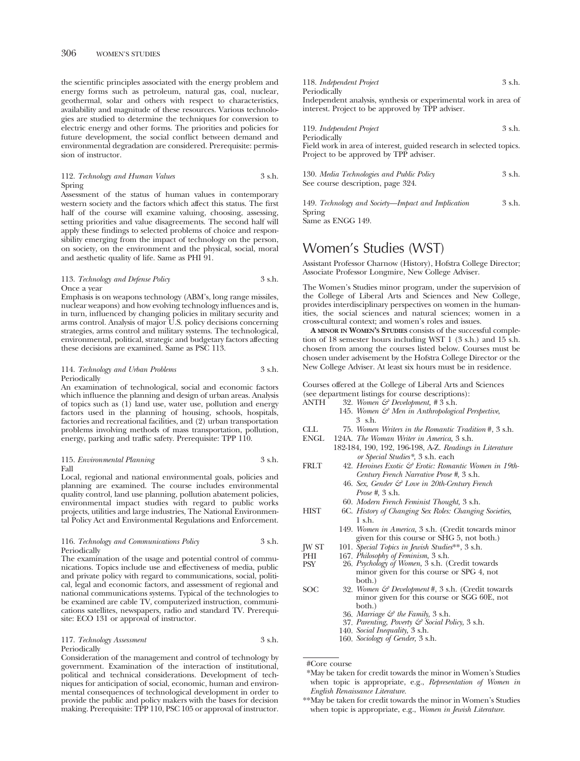the scientific principles associated with the energy problem and energy forms such as petroleum, natural gas, coal, nuclear, geothermal, solar and others with respect to characteristics, availability and magnitude of these resources. Various technologies are studied to determine the techniques for conversion to electric energy and other forms. The priorities and policies for future development, the social conflict between demand and environmental degradation are considered. Prerequisite: permission of instructor.

| 112. Technology and Human Values | 3 s.h. |
|----------------------------------|--------|
| Spring                           |        |

Assessment of the status of human values in contemporary western society and the factors which affect this status. The first half of the course will examine valuing, choosing, assessing, setting priorities and value disagreements. The second half will apply these findings to selected problems of choice and responsibility emerging from the impact of technology on the person, on society, on the environment and the physical, social, moral and aesthetic quality of life. Same as PHI 91.

#### 113. *Technology and Defense Policy* 3 s.h. Once a year

Emphasis is on weapons technology (ABM's, long range missiles, nuclear weapons) and how evolving technology influences and is, in turn, influenced by changing policies in military security and arms control. Analysis of major U.S. policy decisions concerning strategies, arms control and military systems. The technological, environmental, political, strategic and budgetary factors affecting these decisions are examined. Same as PSC 113.

#### 114. *Technology and Urban Problems* 3 s.h. Periodically

An examination of technological, social and economic factors which influence the planning and design of urban areas. Analysis of topics such as  $(1)$  land use, water use, pollution and energy factors used in the planning of housing, schools, hospitals, factories and recreational facilities, and (2) urban transportation problems involving methods of mass transportation, pollution, energy, parking and traffic safety. Prerequisite: TPP 110.

#### 115. *Environmental Planning* 3 s.h. Fall

Local, regional and national environmental goals, policies and planning are examined. The course includes environmental quality control, land use planning, pollution abatement policies, environmental impact studies with regard to public works projects, utilities and large industries, The National Environmental Policy Act and Environmental Regulations and Enforcement.

#### 116. *Technology and Communications Policy* 3 s.h. Periodically

The examination of the usage and potential control of communications. Topics include use and effectiveness of media, public and private policy with regard to communications, social, political, legal and economic factors, and assessment of regional and national communications systems. Typical of the technologies to be examined are cable TV, computerized instruction, communications satellites, newspapers, radio and standard TV. Prerequisite: ECO 131 or approval of instructor.

#### 117. *Technology Assessment* 3 s.h. Periodically

Consideration of the management and control of technology by government. Examination of the interaction of institutional, political and technical considerations. Development of techniques for anticipation of social, economic, human and environmental consequences of technological development in order to provide the public and policy makers with the bases for decision making. Prerequisite: TPP 110, PSC 105 or approval of instructor.

| 118. Independent Project                                            | $3$ s.h. |
|---------------------------------------------------------------------|----------|
| Periodically                                                        |          |
| Independent analysis, synthesis or experimental work in area of     |          |
| interest. Project to be approved by TPP adviser.                    |          |
|                                                                     |          |
| 119. Independent Project                                            | $3$ s.h. |
| Periodically                                                        |          |
| Field work in area of interest, guided research in selected topics. |          |
| Project to be approved by TPP adviser.                              |          |
|                                                                     |          |

| 130. Media Technologies and Public Policy | 3 s.h. |
|-------------------------------------------|--------|
| See course description, page 324.         |        |

149. *Technology and Society—Impact and Implication* 3 s.h. Spring Same as ENGG 149.

# Women's Studies (WST)

Assistant Professor Charnow (History), Hofstra College Director; Associate Professor Longmire, New College Adviser.

The Women's Studies minor program, under the supervision of the College of Liberal Arts and Sciences and New College, provides interdisciplinary perspectives on women in the humanities, the social sciences and natural sciences; women in a cross-cultural context; and women's roles and issues.

**A MINOR IN WOMEN'S STUDIES** consists of the successful completion of 18 semester hours including WST 1 (3 s.h.) and 15 s.h. chosen from among the courses listed below. Courses must be chosen under advisement by the Hofstra College Director or the New College Adviser. At least six hours must be in residence.

Courses offered at the College of Liberal Arts and Sciences

- (see department listings for course descriptions):<br>ANTH 32. Women  $G^2$  Development, #3 s.h. ANTH 32. *Women & Development, #* 3 s.h.
	- 145. *Women & Men in Anthropological Perspective*, 3 s.h.
- CLL 75. *Women Writers in the Romantic Tradition* #, 3 s.h.
- ENGL 124A. *The Woman Writer in America,* 3 s.h. 182-184, 190, 192, 196-198, A-Z. *Readings in Literature or Special Studies\*,* 3 s.h. each
- FRLT 42. *Heroines Exotic & Erotic: Romantic Women in 19th-Century French Narrative Prose #*, 3 s.h.
	- 46. *Sex, Gender & Love in 20th-Century French Prose #,* 3 s.h.
	- 60. *Modern French Feminist Thought,* 3 s.h.
- HIST 6C. *History of Changing Sex Roles: Changing Societies,*  1 s.h.
	- 149. *Women in America,* 3 s.h. (Credit towards minor given for this course or SHG 5, not both.)
- JW ST 101. *Special Topics in Jewish Studies*\*\*, 3 s.h.
- PHI 167. *Philosophy of Feminism*, 3 s.h.<br>PSY 26. *Psychology of Women*, 3 s.h. (0)
	- PSY 26. *Psychology of Women,* 3 s.h. (Credit towards minor given for this course or SPG 4, not both.)
- SOC 32. *Women & Development* #, 3 s.h. (Credit towards minor given for this course or SGG 60E, not both.)
	- 36. *Marriage & the Family,* 3 s.h.
	- 37. *Parenting, Poverty & Social Policy,* 3 s.h.
	- 140. *Social Inequality,* 3 s.h.
	- 160. *Sociology of Gender,* 3 s.h.

#Core course

<sup>\*</sup>May be taken for credit towards the minor in Women's Studies when topic is appropriate, e.g., *Representation of Women in English Renaissance Literature.* 

<sup>\*\*</sup>May be taken for credit towards the minor in Women's Studies when topic is appropriate, e.g., *Women in Jewish Literature.*